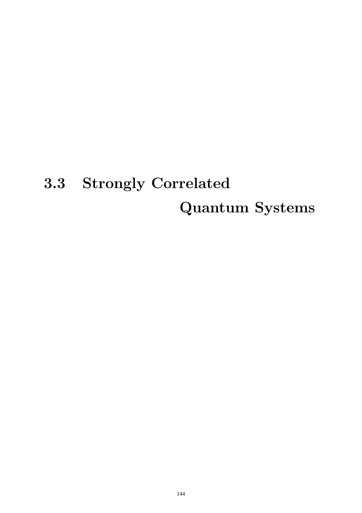# 3.3 Strongly Correlated Quantum Systems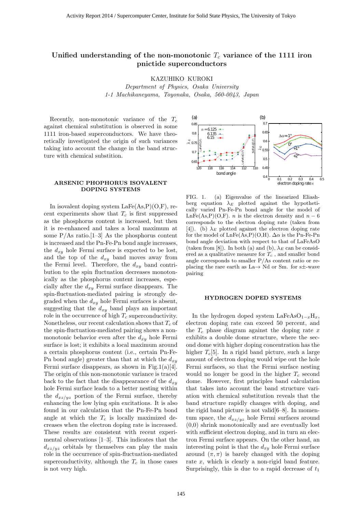#### **Unified understanding of the non-monotonic** *T<sup>c</sup>* **variance of the 1111 iron pnictide superconductors**

KAZUHIKO KUROKI

*Department of Physics, Osaka University 1-1 Machikaneyama, Toyonaka, Osaka, 560-0043, Japan*

Recently, non-monotonic variance of the T*<sup>c</sup>* against chemical substitution is observed in some 1111 iron-based superconductors. We have theoretically investigated the origin of such variances taking into account the change in the band structure with chemical substition.

#### **ARSENIC PHOPHORUS ISOVALENT DOPING SYSTEMS**

In isovalent doping system  $\text{LaFe}(As, P)(O, F)$ , recent experiments show that  $T_c$  is first suppressed as the phosphorus content is increased, but then it is re-enhanced and takes a local maximum at some  $P/As$  ratio. [1–3] As the phosphorus content is increased and the Pn-Fe-Pn bond angle increases, the  $d_{xy}$  hole Fermi surface is expected to be lost, and the top of the d*xy* band moves away from the Fermi level. Therefore, the  $d_{xy}$  band contribution to the spin fluctuation decreases monotonically as the phosphorus content increases, especially after the d*xy* Fermi surface disappears. The spin-fluctuation-mediated pairing is strongly degraded when the d*xy* hole Fermi surfaces is absent, suggesting that the  $d_{xy}$  band plays an important role in the occurrence of high T*<sup>c</sup>* superconductivity. Nonetheless, our recent calculation shows that T*<sup>c</sup>* of the spin-fluctuation-mediated pairing shows a nonmonotonic behavior even after the  $d_{xy}$  hole Fermi surface is lost; it exhibits a local maximum around a certain phosphorus content (i.e., certain Pn-Fe-Pn bond angle) greater than that at which the  $d_{xy}$ Fermi surface disappears, as shown in Fig.1(a)[4]. The origin of this non-monotonic variance is traced back to the fact that the disappearance of the  $d_{xy}$ hole Fermi surface leads to a better nesting within the  $d_{xz/yz}$  portion of the Fermi surface, thereby enhancing the low lying spin excitations. It is also found in our calculation that the Pn-Fe-Pn bond angle at which the  $T_c$  is locally maximized decreases when the electron doping rate is increased. These results are consistent with recent experimental observations [1–3]. This indicates that the  $d_{xz/yz}$  orbitals by themselves can play the main role in the occurrence of spin-fluctuation-mediated superconductivity, although the  $T_c$  in those cases is not very high.



FIG. 1. (a) Eigenvalue of the linearized Eliashberg equation  $\lambda_E$  plotted against the hypothetically varied Pn-Fe-Pn bond angle for the model of LnFe(As,P)(O,F). *n* is the electron density and  $n - 6$ corresponds to the electron doping rate (taken from [4]). (b)  $\lambda_E$  plotted against the electron doping rate for the model of  $LnFe(As, P)(O,H)$ .  $\Delta \alpha$  is the Pn-Fe-Pn bond angle deviation with respect to that of LaFeAsO (taken from [8]). In both (a) and (b),  $\lambda_E$  can be considered as a qualitative measure for T*<sup>c</sup>* , and smaller bond angle corresponds to smaller  $P/As$  content ratio or replacing the rare earth as La→ Nd or Sm. for s±-wave pairing

#### **HYDROGEN DOPED SYSTEMS**

In the hydrogen doped system LaFeAs $O_{1-x}H_x$ , electron doping rate can exceed 50 percent, and the  $T_c$  phase diagram against the doping rate  $x$ exhibits a double dome structure, where the second dome with higher doping concentration has the higher  $T_c[5]$ . In a rigid band picture, such a large amount of electron doping would wipe out the hole Fermi surfaces, so that the Fermi surface nesting would no longer be good in the higher T*<sup>c</sup>* second dome. However, first principles band calculation that takes into account the band structure variation with chemical substitution reveals that the band structure rapidly changes with doping, and the rigid band picture is not valid $[6-8]$ . In momentum space, the  $d_{xz/yz}$  hole Fermi surfaces around (0,0) shrink monotonically and are eventually lost with sufficient electron doping, and in turn an electron Fermi surface appears. On the other hand, an interesting point is that the  $d_{xy}$  hole Fermi surface around  $(\pi, \pi)$  is barely changed with the doping rate x, which is clearly a non-rigid band feature. Surprisingly, this is due to a rapid decrease of  $t_1$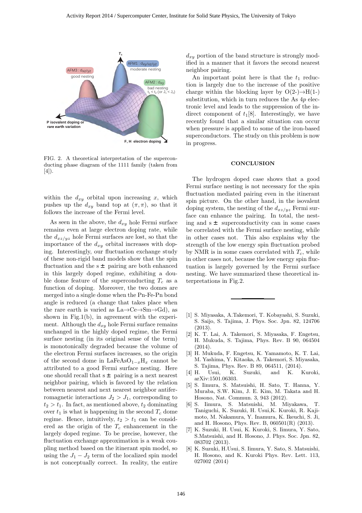

FIG. 2. A theoretical interpretation of the superconducting phase diagram of the 1111 family (taken from  $|4|$ ).

within the  $d_{xy}$  orbital upon increasing x, which pushes up the  $d_{xy}$  band top at  $(\pi, \pi)$ , so that it follows the increase of the Fermi level.

As seen in the above, the  $d_{xy}$  hole Fermi surface remains even at large electron doping rate, while the  $d_{xz/yz}$  hole Fermi surfaces are lost, so that the importance of the  $d_{xy}$  orbital increases with doping. Interestingly, our fluctuation exchange study of these non-rigid band models show that the spin fluctuation and the  $s \pm$  pairing are both enhanced in this largely doped regime, exhibiting a double dome feature of the superconducting  $T_c$  as a function of doping. Moreover, the two domes are merged into a single dome when the Pn-Fe-Pn bond angle is reduced (a change that takes place when the rare earth is varied as  $La \rightarrow Ce \rightarrow Sm \rightarrow Gd$ , as shown in Fig.1(b), in agreement with the experiment. Although the  $d_{xy}$  hole Fermi surface remains unchanged in the highly doped regime, the Fermi surface nesting (in its original sense of the term) is monotonically degraded because the volume of the electron Fermi surfaces increases, so the origin of the second dome in LaFeAsO<sup>1</sup>*−<sup>x</sup>*H*<sup>x</sup>* cannot be attributed to a good Fermi surface nesting. Here one should recall that  $s \pm$  pairing is a next nearest neighbor pairing, which is favored by the relation between nearest and next nearest neighbor antiferromagnetic interactions  $J_2 > J_1$ , corresponding to  $t_2 > t_1$ . In fact, as mentioned above,  $t_2$  dominating over  $t_1$  is what is happening in the second  $T_c$  dome regime. Hence, intuitively,  $t_2 > t_1$  can be considered as the origin of the T*<sup>c</sup>* enhancement in the largely doped regime. To be precise, however, the fluctuation exchange approximation is a weak coupling method based on the itinerant spin model, so using the  $J_1 - J_2$  term of the localized spin model is not conceptually correct. In reality, the entire

 $d_{xy}$  portion of the band structure is strongly modified in a manner that it favors the second nearest neighbor pairing.

An important point here is that the  $t_1$  reduction is largely due to the increase of the positive charge within the blocking layer by  $O(2-) \rightarrow H(1-)$ substitution, which in turn reduces the As  $4p$  electronic level and leads to the suppression of the indirect component of  $t_1[8]$ . Interestingly, we have recently found that a similar situation can occur when pressure is applied to some of the iron-based superconductors. The study on this problem is now in progress.

#### **CONCLUSION**

The hydrogen doped case shows that a good Fermi surface nesting is not necessary for the spin fluctuation mediated pairing even in the itinerant spin picture. On the other hand, in the isovalent doping system, the nesting of the d*xz/yz* Fermi surface can enhance the pairing. In total, the nesting and  $s \pm$  superconductivity can in some cases be correlated with the Fermi surface nesting, while in other cases not. This also explains why the strength of the low energy spin fluctuation probed by NMR is in some cases correlated with  $T_c$ , while in other cases not, because the low energy spin fluctuation is largely governed by the Fermi surface nesting. We have summarized these theoretical interpretations in Fig.2.

- [1] S. Miyasaka, A.Takemori, T. Kobayashi, S. Suzuki, S. Saijo, S. Tajima, J. Phys. Soc. Jpn. 82, 124706  $(2013)$
- [2] K. T. Lai, A. Takemori, S. Miyasaka, F. Engetsu, H. Mukuda, S. Tajima, Phys. Rev. B 90, 064504 (2014).
- [3] H. Mukuda, F. Engetsu, K. Yamamoto, K. T. Lai, M. Yashima, Y. Kitaoka, A. Takemori, S. Miyasaka, S. Tajima, Phys. Rev. B 89, 064511, (2014).
- [4] H. Usui, K. Suzuki, and K. Kuroki, arXiv:1501.06303.
- [5] S. Iimura, S. Matsuishi, H. Sato, T. Hanna, Y. Muraba, S.W. Kim, J. E. Kim, M. Takata and H. Hosono, Nat. Commun. 3, 943 (2012).
- [6] S. Iimura, S. Matsuishi, M. Miyakawa, T. Taniguchi, K. Suzuki, H. Usui,K. Kuroki, R. Kajimoto, M. Nakamura, Y. Inamura, K. Ikeuchi, S. Ji, and H. Hosono, Phys. Rev. B, 060501(R) (2013).
- [7] K. Suzuki, H. Usui, K. Kuroki, S. Iimura, Y. Sato, S.Matsuishi, and H. Hosono, J. Phys. Soc. Jpn. 82, 083702 (2013).
- [8] K. Suzuki, H.Usui, S. Iimura, Y. Sato, S. Matsuishi, H. Hosono, and K. Kuroki Phys. Rev. Lett. 113, 027002 (2014)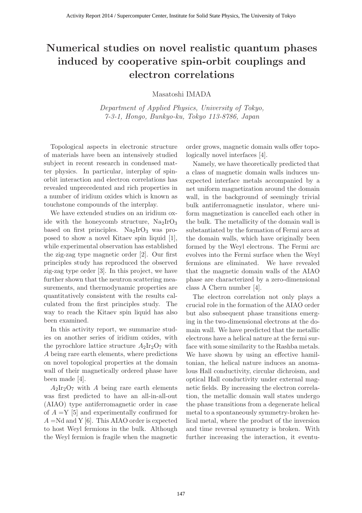# **Numerical studies on novel realistic quantum phases induced by cooperative spin-orbit couplings and electron correlations**

Masatoshi IMADA

*Department of Applied Physics, University of Tokyo, 7-3-1, Hongo, Bunkyo-ku, Tokyo 113-8786, Japan*

Topological aspects in electronic structure of materials have been an intensively studied subject in recent research in condensed matter physics. In particular, interplay of spinorbit interaction and electron correlations has revealed unprecedented and rich properties in a number of iridium oxides which is known as touchstone compounds of the interplay.

We have extended studies on an iridium oxide with the honeycomb structure,  $Na<sub>2</sub>IrO<sub>3</sub>$ based on first principles.  $Na<sub>2</sub>IrO<sub>3</sub>$  was proposed to show a novel Kitaev spin liquid [1], while experimental observation has established the zig-zag type magnetic order [2]. Our first principles study has reproduced the observed zig-zag type order [3]. In this project, we have further shown that the neutron scattering measurements, and thermodynamic properties are quantitatively consistent with the results calculated from the first principles study. The way to reach the Kitaev spin liquid has also been examined.

In this activity report, we summarize studies on another series of iridium oxides, with the pyrochlore lattice structure  $A_2Ir_2O_7$  with *A* being rare earth elements, where predictions on novel topological properties at the domain wall of their magnetically ordered phase have been made [4].

 $A_2Ir_2O_7$  with *A* being rare earth elements was first predicted to have an all-in-all-out (AIAO) type antiferromagnetic order in case of  $A = Y$  [5] and experimentally confirmed for *A* =Nd and Y [6]. This AIAO order is expected to host Weyl fermions in the bulk. Although the Weyl fermion is fragile when the magnetic order grows, magnetic domain walls offer topologically novel interfaces [4].

Namely, we have theoretically predicted that a class of magnetic domain walls induces unexpected interface metals accompanied by a net uniform magnetization around the domain wall, in the background of seemingly trivial bulk antiferromagnetic insulator, where uniform magnetization is cancelled each other in the bulk. The metallicity of the domain wall is substantiated by the formation of Fermi arcs at the domain walls, which have originally been formed by the Weyl electrons. The Fermi arc evolves into the Fermi surface when the Weyl fermions are eliminated. We have revealed that the magnetic domain walls of the AIAO phase are characterized by a zero-dimensional class A Chern number [4].

The electron correlation not only plays a crucial role in the formation of the AIAO order but also subsequent phase transitions emerging in the two-dimensional electrons at the domain wall. We have predicted that the metallic electrons have a helical nature at the fermi surface with some similarity to the Rashba metals. We have shown by using an effective hamiltonian, the helical nature induces an anomalous Hall conductivity, circular dichroism, and optical Hall conductivity under external magnetic fields. By increasing the electron correlation, the metallic domain wall states undergo the phase transitions from a degenerate helical metal to a spontaneously symmetry-broken helical metal, where the product of the inversion and time reversal symmetry is broken. With further increasing the interaction, it eventu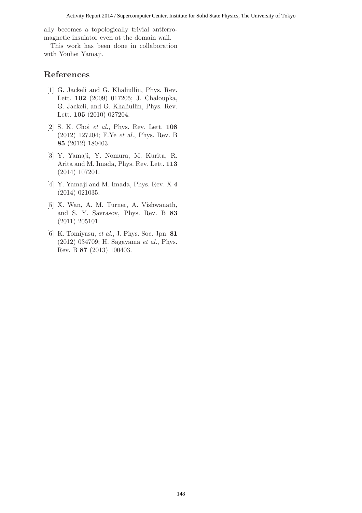ally becomes a topologically trivial antferromagnetic insulator even at the domain wall.

This work has been done in collaboration with Youhei Yamaji.

- [1] G. Jackeli and G. Khaliullin, Phys. Rev. Lett. **102** (2009) 017205; J. Chaloupka, G. Jackeli, and G. Khaliullin, Phys. Rev. Lett. **105** (2010) 027204.
- [2] S. K. Choi *et al.*, Phys. Rev. Lett. **108** (2012) 127204; F.Ye *et al.*, Phys. Rev. B **85** (2012) 180403.
- [3] Y. Yamaji, Y. Nomura, M. Kurita, R. Arita and M. Imada, Phys. Rev. Lett. **113** (2014) 107201.
- [4] Y. Yamaji and M. Imada, Phys. Rev. X **4** (2014) 021035.
- [5] X. Wan, A. M. Turner, A. Vishwanath, and S. Y. Savrasov, Phys. Rev. B **83** (2011) 205101.
- [6] K. Tomiyasu, *et al.*, J. Phys. Soc. Jpn. **81** (2012) 034709; H. Sagayama *et al.*, Phys. Rev. B **87** (2013) 100403.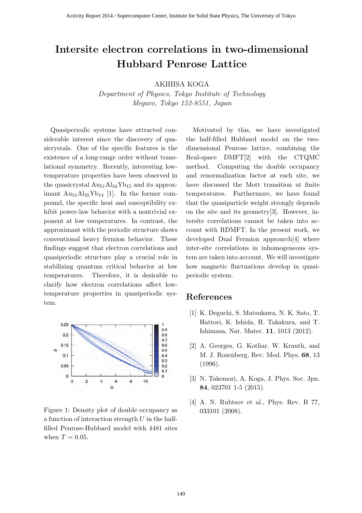## **Intersite electron correlations in two-dimensional Hubbard Penrose Lattice**

AKIHISA KOGA

*Department of Physics, Tokyo Institute of Technology Meguro, Tokyo 152-8551, Japan*

Quasiperiodic systems have attracted considerable interest since the discovery of quasicrystals. One of the specific features is the existence of a long-range order without translational symmetry. Recently, interesting lowtemperature properties have been observed in the quasicrystal  $\text{Au}_{51}\text{Al}_{34}\text{Yb}_{15}$  and its approximant  $\text{Au}_{51}\text{Al}_{35}\text{Yb}_{14}$  [1]. In the former compound, the specific heat and susceptibility exhibit power-law behavior with a nontrivial exponent at low temperatures. In contrast, the approximant with the periodic structure shows conventional heavy fermion behavior. These findings suggest that electron correlations and quasiperiodic structure play a crucial role in stabilizing quantum critical behavior at low temperatures. Therefore, it is desirable to clarify how electron correlations affect lowtemperature properties in quasiperiodic system.



Figure 1: Density plot of double occupancy as a function of interaction strength *U* in the halffilled Penrose-Hubbard model with 4481 sites when  $T = 0.05$ .

Motivated by this, we have investigated the half-filled Hubbard model on the twodimensional Penrose lattice, combining the Real-space DMFT[2] with the CTQMC method. Computing the double occupancy and renormalization factor at each site, we have discussed the Mott transition at finite temperatures. Furthermore, we have found that the quasiparticle weight strongly depends on the site and its geometry[3]. However, intersite correlations cannot be taken into account with RDMFT. In the present work, we developed Dual Fermion approarch[4] where inter-site correlations in inhomogeneous system are taken into account. We will investigate how magnetic fluctuations develop in quasiperiodic system.

- [1] K. Deguchi, S. Matsukawa, N. K. Sato, T. Hattori, K. Ishida, H. Takakura, and T. Ishimasa, Nat. Mater. **11**, 1013 (2012).
- [2] A. Georges, G. Kotliar, W. Krauth, and M. J. Rozenberg, Rev. Mod. Phys. **68**, 13 (1996).
- [3] N. Takemori, A. Koga, J. Phys. Soc. Jpn. **84**, 023701 1-5 (2015).
- [4] A. N. Rubtsov et al., Phys. Rev. B 77, 033101 (2008).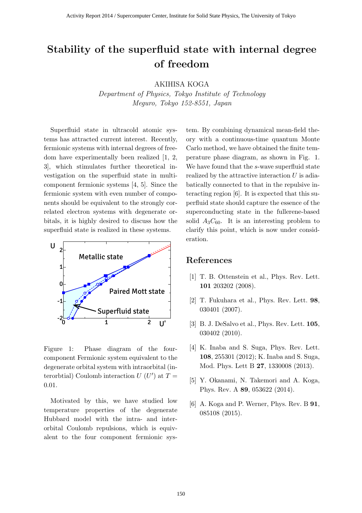# **Stability of the superfluid state with internal degree of freedom**

AKIHISA KOGA

*Department of Physics, Tokyo Institute of Technology Meguro, Tokyo 152-8551, Japan*

Superfluid state in ultracold atomic systems has attracted current interest. Recently, fermionic systems with internal degrees of freedom have experimentally been realized [1, 2, 3], which stimulates further theoretical investigation on the superfluid state in multicomponent fermionic systems [4, 5]. Since the fermionic system with even number of components should be equivalent to the strongly correlated electron systems with degenerate orbitals, it is highly desired to discuss how the superfluid state is realized in these systems.



Figure 1: Phase diagram of the fourcomponent Fermionic system equivalent to the degenerate orbital system with intraorbital (interorbtial) Coulomb interaction  $U(U')$  at  $T =$ 0*.*01.

Motivated by this, we have studied low temperature properties of the degenerate Hubbard model with the intra- and interorbital Coulomb repulsions, which is equivalent to the four component fermionic system. By combining dynamical mean-field theory with a continuous-time quantum Monte Carlo method, we have obtained the finite temperature phase diagram, as shown in Fig. 1. We have found that the *s*-wave superfluid state realized by the attractive interaction *U* is adiabatically connected to that in the repulsive interacting region [6]. It is expected that this superfluid state should capture the essence of the superconducting state in the fullerene-based solid  $A_3C_{60}$ . It is an interesting problem to clarify this point, which is now under consideration.

- [1] T. B. Ottenstein et al., Phys. Rev. Lett. **101** 203202 (2008).
- [2] T. Fukuhara et al., Phys. Rev. Lett. **98**, 030401 (2007).
- [3] B. J. DeSalvo et al., Phys. Rev. Lett. **105**, 030402 (2010).
- [4] K. Inaba and S. Suga, Phys. Rev. Lett. **108**, 255301 (2012); K. Inaba and S. Suga, Mod. Phys. Lett B **27**, 1330008 (2013).
- [5] Y. Okanami, N. Takemori and A. Koga, Phys. Rev. A **89**, 053622 (2014).
- [6] A. Koga and P. Werner, Phys. Rev. B **91**, 085108 (2015).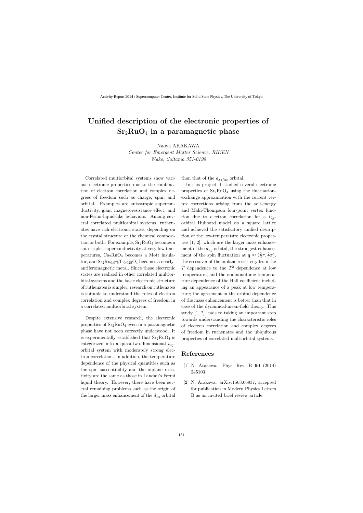# **Unified description of the electronic properties of Sr**2**RuO**<sup>4</sup> **in a paramagnetic phase**

Naoya ARAKAWA

*Center for Emergent Matter Science, RIKEN Wako, Saitama 351-0198*

Correlated multiorbital systems show various electronic properties due to the combination of electron correlation and complex degrees of freedom such as charge, spin, and orbital. Examples are anisotropic superconductivity, giant magnetoresistance effect, and non-Fermi-liquid-like behaviors. Among several correlated multiorbital systems, ruthenates have rich electronic states, depending on the crystal structure or the chemical composition or both. For example,  $Sr<sub>2</sub>RuO<sub>4</sub>$  becomes a spin-triplet superconductivity at very low temperatures,  $Ca<sub>2</sub>RuO<sub>4</sub>$  becomes a Mott insulator, and  $Sr_2Ru_{0.075}Ti_{0.025}O_4$  becomes a nearlyantiferomagnetic metal. Since those electronic states are realized in other correlated multiorbital systems and the basic electronic structure of ruthenates is simpler, research on ruthenates is suitable to understand the roles of electron correlation and complex degrees of freedom in a correlated multiorbital system.

Despite extensive research, the electronic properties of  $Sr<sub>2</sub>RuO<sub>4</sub>$  even in a paramagnetic phase have not been correctly understood. It is experimentally established that  $Sr<sub>2</sub>RuO<sub>4</sub>$  is categorized into a quasi-two-dimensional  $t_{2q}$ orbital system with moderately strong electron correlation. In addition, the temperature dependence of the physical quantities such as the spin susceptibility and the inplane resistivity are the same as those in Landau's Fermi liquid theory. However, there have been several remaining problems such as the origin of the larger mass enhancement of the *dxy* orbital than that of the  $d_{xz/yz}$  orbital.

In this project, I studied several electronic properties of  $Sr<sub>2</sub>RuO<sub>4</sub>$  using the fluctuationexchange approximation with the current vertex corrections arising from the self-energy and Maki-Thompson four-point vertex function due to electron correlation for a  $t_{2q}$ orbital Hubbard model on a square lattice and achieved the satisfactory unified description of the low-temperature electronic properties [1, 2], which are the larger mass enhancement of the  $d_{xy}$  orbital, the strongest enhancement of the spin fluctuation at  $q \approx (\frac{2}{3})^2$  $\frac{2}{3}\pi, \frac{2}{3}\pi$ ), the crossover of the inplane resistivity from the *T* dependence to the *T* <sup>2</sup> dependence at low temperature, and the nonmonotonic temperature dependence of the Hall coefficient including an appearance of a peak at low temperature; the agreement in the orbital dependence of the mass enhancement is better than that in case of the dynamical-mean-field theory. This study [1, 2] leads to taking an important step towards understanding the characteristic roles of electron correlation and complex degrees of freedom in ruthenates and the ubiquitous properties of correlated multiorbital systems.

- [1] N. Arakawa: Phys. Rev. B **90** (2014) 245103.
- [2] N. Arakawa: arXiv:1503.06937; accepted for publication in Modern Physics Letters B as an invited brief review article.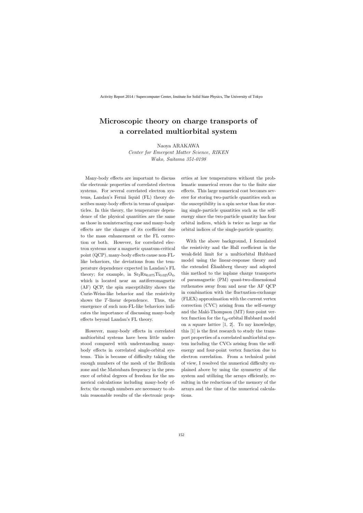# **Microscopic theory on charge transports of a correlated multiorbital system**

Naoya ARAKAWA

*Center for Emergent Matter Science, RIKEN Wako, Saitama 351-0198*

Many-body effects are important to discuss the electronic properties of correlated electron systems. For several correlated electron systems, Landau's Fermi liquid (FL) theory describes many-body effects in terms of quasiparticles. In this theory, the temperature dependence of the physical quantities are the same as those in noninteracting case and many-body effects are the changes of its coefficient due to the mass enhancement or the FL correction or both. However, for correlated electron systems near a magnetic quantum-critical point (QCP), many-body effects cause non-FLlike behaviors, the deviations from the temperature dependence expected in Landau's FL theory; for example, in  $Sr_2Ru_{0.075}Ti_{0.025}O_4$ , which is located near an antiferromagnetic (AF) QCP, the spin susceptibility shows the Curie-Weiss-like behavior and the resistivity shows the *T*-linear dependence. Thus, the emergence of such non-FL-like behaviors indicates the importance of discussing many-body effects beyond Landau's FL theory.

However, many-body effects in correlated multiorbital systems have been little understood compared with understanding manybody effects in correlated single-orbital systems. This is because of difficulty taking the enough numbers of the mesh of the Brillouin zone and the Matsubara frequency in the presence of orbital degrees of freedom for the numerical calculations including many-body effects; the enough numbers are necessary to obtain reasonable results of the electronic properties at low temperatures without the problematic numerical errors due to the finite size effects. This large numerical cost becomes severer for storing two-particle quantities such as the susceptibility in a spin sector than for storing single-particle quantities such as the selfenergy since the two-particle quantity has four orbital indices, which is twice as large as the orbital indices of the single-particle quantity.

With the above background, I formulated the resistivity and the Hall coefficient in the weak-field limit for a multiorbital Hubbard model using the linear-response theory and the extended Eliashberg theory and adopted ´ this method to the inplane charge transports of paramagnetic (PM) quasi-two-dimensional ruthenates away from and near the AF QCP in combination with the fluctuation-exchange (FLEX) approximation with the current vertex correction (CVC) arising from the self-energy and the Maki-Thompson (MT) four-point vertex function for the  $t_{2q}$ -orbital Hubbard model on a square lattice [1, 2]. To my knowledge, this [1] is the first research to study the transport properties of a correlated multiorbital system including the CVCs arising from the selfenergy and four-point vertex function due to electron correlation. From a technical point of view, I resolved the numerical difficulty explained above by using the symmetry of the system and utilizing the arrays efficiently, resulting in the reductions of the memory of the arrays and the time of the numerical calculations.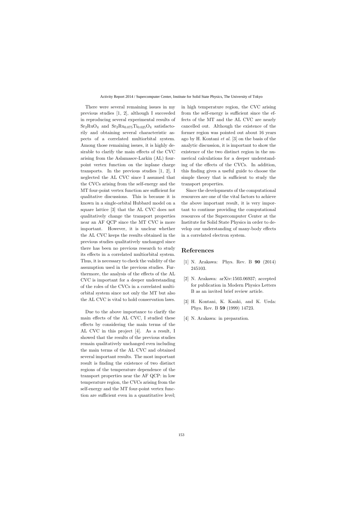There were several remaining issues in my previous studies [1, 2], although I succeeded in reproducing several experimental results of  $Sr<sub>2</sub>RuO<sub>4</sub>$  and  $Sr<sub>2</sub>Ru<sub>0.075</sub>Ti<sub>0.025</sub>O<sub>4</sub>$  satisfactorily and obtaining several characteristic aspects of a correlated multiorbital system. Among those remaining issues, it is highly desirable to clarify the main effects of the CVC arising from the Aslamasov-Larkin (AL) fourpoint vertex function on the inplane charge transports. In the previous studies [1, 2], I neglected the AL CVC since I assumed that the CVCs arising from the self-energy and the MT four-point vertex function are sufficient for qualitative discussions. This is because it is known in a single-orbital Hubbard model on a square lattice [3] that the AL CVC does not qualitatively change the transport properties near an AF QCP since the MT CVC is more important. However, it is unclear whether the AL CVC keeps the results obtained in the previous studies qualitatively unchanged since there has been no previous research to study its effects in a correlated multiorbital system. Thus, it is necessary to check the validity of the assumption used in the previous studies. Furthermore, the analysis of the effects of the AL CVC is important for a deeper understanding of the roles of the CVCs in a correlated multiorbital system since not only the MT but also the AL CVC is vital to hold conservation laws.

Due to the above importance to clarify the main effects of the AL CVC, I studied these effects by considering the main terms of the AL CVC in this project [4]. As a result, I showed that the results of the previous studies remain qualitatively unchanged even including the main terms of the AL CVC and obtained several important results. The most important result is finding the existence of two distinct regions of the temperature dependence of the transport properties near the AF QCP: in low temperature region, the CVCs arising from the self-energy and the MT four-point vertex function are sufficient even in a quantitative level; in high temperature region, the CVC arising from the self-energy is sufficient since the effects of the MT and the AL CVC are nearly cancelled out. Although the existence of the former region was pointed out about 16 years ago by H. Kontani *et al.* [3] on the basis of the analytic discussion, it is important to show the existence of the two distinct region in the numerical calculations for a deeper understanding of the effects of the CVCs. In addition, this finding gives a useful guide to choose the simple theory that is sufficient to study the transport properties.

Since the developments of the computational resources are one of the vital factors to achieve the above important result, it is very important to continue providing the computational resources of the Supercomputer Center at the Institute for Solid State Physics in order to develop our understanding of many-body effects in a correlated electron system.

- [1] N. Arakawa: Phys. Rev. B **90** (2014) 245103.
- [2] N. Arakawa: arXiv:1503.06937; accepted for publication in Modern Physics Letters B as an invited brief review article.
- [3] H. Kontani, K. Kanki, and K. Ueda: Phys. Rev. B **59** (1999) 14723.
- [4] N. Arakawa: in preparation.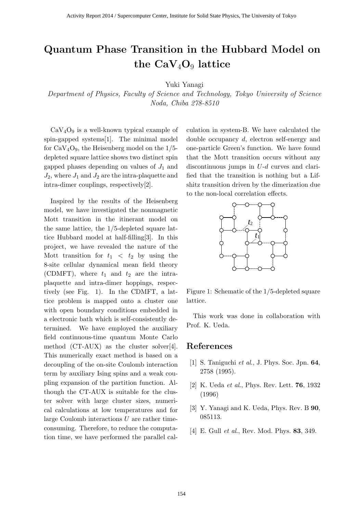# **Quantum Phase Transition in the Hubbard Model on the CaV**4**O**<sup>9</sup> **lattice**

Yuki Yanagi

*Department of Physics, Faculty of Science and Technology, Tokyo University of Science Noda, Chiba 278-8510*

 $CaV<sub>4</sub>O<sub>9</sub>$  is a well-known typical example of spin-gapped systems[1]. The minimal model for  $CaV<sub>4</sub>O<sub>9</sub>$ , the Heisenberg model on the  $1/5$ depleted square lattice shows two distinct spin gapped phases depending on values of  $J_1$  and  $J_2$ , where  $J_1$  and  $J_2$  are the intra-plaquette and intra-dimer couplings, respectively[2].

Inspired by the results of the Heisenberg model, we have investigated the nonmagnetic Mott transition in the itinerant model on the same lattice, the 1/5-depleted square lattice Hubbard model at half-filling[3]. In this project, we have revealed the nature of the Mott transition for  $t_1 < t_2$  by using the 8-site cellular dynamical mean field theory (CDMFT), where  $t_1$  and  $t_2$  are the intraplaquette and intra-dimer hoppings, respectively (see Fig. 1). In the CDMFT, a lattice problem is mapped onto a cluster one with open boundary conditions embedded in a electronic bath which is self-consistently determined. We have employed the auxiliary field continuous-time quantum Monte Carlo method (CT-AUX) as the cluster solver[4]. This numerically exact method is based on a decoupling of the on-site Coulomb interaction term by auxiliary Ising spins and a weak coupling expansion of the partition function. Although the CT-AUX is suitable for the cluster solver with large cluster sizes, numerical calculations at low temperatures and for large Coulomb interactions *U* are rather timeconsuming. Therefore, to reduce the computation time, we have performed the parallel calculation in system-B. We have calculated the double occupancy *d*, electron self-energy and one-particle Green's function. We have found that the Mott transition occurs without any discontinuous jumps in *U*-*d* curves and clarified that the transition is nothing but a Lifshitz transition driven by the dimerization due to the non-local correlation effects.



Figure 1: Schematic of the 1/5-depleted square lattice.

This work was done in collaboration with Prof. K. Ueda.

- [1] S. Taniguchi *et al*., J. Phys. Soc. Jpn. **64**, 2758 (1995).
- [2] K. Ueda *et al*., Phys. Rev. Lett. **76**, 1932 (1996)
- [3] Y. Yanagi and K. Ueda, Phys. Rev. B **90**, 085113.
- [4] E. Gull *et al*., Rev. Mod. Phys. **83**, 349.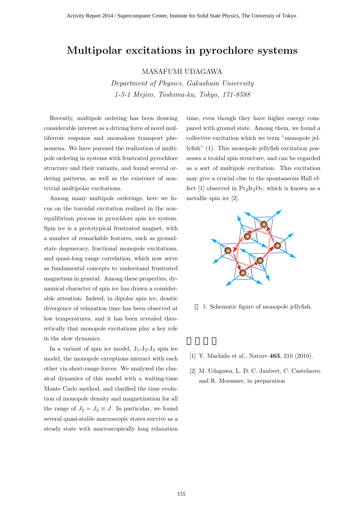### **Multipolar excitations in pyrochlore systems**

MASAFUMI UDAGAWA

*Department of Physics, Gakushuin University 1-5-1 Mejiro, Toshima-ku, Tokyo, 171-8588*

Recently, multipole ordering has been drawing considerable interest as a driving force of novel multiferroic response and anomalous transport phenomena. We have pursued the realization of multipole ordering in systems with frustrated pyrochlore structure and their variants, and found several ordering patterns, as well as the existence of nontrivial multipolar excitations.

Among many multipole orderings, here we focus on the toroidal excitation realized in the nonequilibrium process in pyrochlore spin ice system. Spin ice is a prototypical frustrated magnet, with a number of remarkable features, such as groundstate degeneracy, fractional monopole excitations, and quasi-long range correlation, which now serve as fundamental concepts to understand frustrated magnetism in general. Among these properties, dynamical character of spin ice has drawn a considerable attention. Indeed, in dipolar spin ice, drastic divergence of relaxation time has been observed at low temperatures, and it has been revealed theoretically that monopole excitations play a key role in the slow dynamics.

In a variant of spin ice model,  $J_1-J_2-J_3$  spin ice model, the monopole exceptions interact with each other via short-range forces. We analyzed the classical dynamics of this model with a waiting-time Monte Carlo method, and clarified the time evolution of monopole density and magnetization for all the range of  $J_2 = J_3 \equiv J$ . In particular, we found several quasi-stable macroscopic states survive as a steady state with macroscopically long relaxation

time, even though they have higher energy compared with ground state. Among them, we found a collective excitation which we term "monopole jellyfish" (1). This monopole jellyfish excitation possesses a troidal spin structure, and can be regarded as a sort of multipole excitation. This excitation may give a crucial clue to the spontaneous Hall effect [1] observed in  $Pr_2Ir_2O_7$ , which is known as a metallic spin ice [2].



- 1: Schematic figure of monopole jellyfish.
- [1] Y. Machida et al., Nature **463**, 210 (2010).
- [2] M. Udagawa, L. D. C. Jaubert, C. Castelnovo and R. Moessner, in preparation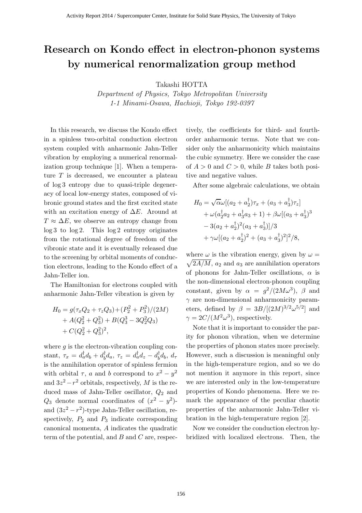# Research on Kondo effect in electron-phonon systems by numerical renormalization group method

Takashi HOTTA

Department of Physics, Tokyo Metropolitan University 1-1 Minami-Osawa, Hachioji, Tokyo 192-0397

In this research, we discuss the Kondo effect in a spinless two-orbital conduction electron system coupled with anharmonic Jahn-Teller vibration by employing a numerical renormalization group technique [1]. When a temperature  $T$  is decreased, we encounter a plateau of log 3 entropy due to quasi-triple degeneracy of local low-energy states, composed of vibronic ground states and the first excited state with an excitation energy of  $\Delta E$ . Around at  $T \approx \Delta E$ , we observe an entropy change from log 3 to log 2. This log 2 entropy originates from the rotational degree of freedom of the vibronic state and it is eventually released due to the screening by orbital moments of conduction electrons, leading to the Kondo effect of a Jahn-Teller ion.

The Hamiltonian for electrons coupled with anharmonic Jahn-Teller vibration is given by

$$
H_0 = g(\tau_x Q_2 + \tau_z Q_3) + (P_2^2 + P_3^2)/(2M)
$$
  
+  $A(Q_2^2 + Q_3^2) + B(Q_3^3 - 3Q_2^2 Q_3)$   
+  $C(Q_2^2 + Q_3^2)^2$ ,

where  $q$  is the electron-vibration coupling constant,  $\tau_x = d_a^{\dagger} d_b + d_b^{\dagger}$  $\eta_b^{\dagger}d_a, \ \tau_z = d_a^{\dagger}d_z - d_b^{\dagger}$  $_{b}^{\dagger}d_{b},\,d_{\tau}$ is the annihilation operator of spinless fermion with orbital  $\tau$ , a and b correspond to  $x^2 - y^2$ and  $3z^2 - r^2$  orbitals, respectively, M is the reduced mass of Jahn-Teller oscillator,  $Q_2$  and  $Q_3$  denote normal coordinates of  $(x^2 - y^2)$ and  $(3z^2 - r^2)$ -type Jahn-Teller oscillation, respectively,  $P_2$  and  $P_3$  indicate corresponding canonical momenta, A indicates the quadratic term of the potential, and  $B$  and  $C$  are, respectively, the coefficients for third- and fourthorder anharmonic terms. Note that we consider only the anharmonicity which maintains the cubic symmetry. Here we consider the case of  $A > 0$  and  $C > 0$ , while B takes both positive and negative values.

After some algebraic calculations, we obtain

$$
H_0 = \sqrt{\alpha} \omega [(a_2 + a_2^{\dagger}) \tau_x + (a_3 + a_3^{\dagger}) \tau_z] + \omega (a_2^{\dagger} a_2 + a_3^{\dagger} a_3 + 1) + \beta \omega [(a_3 + a_3^{\dagger})^3 - 3(a_2 + a_2^{\dagger})^2 (a_3 + a_3^{\dagger})]/3 + \gamma \omega [(a_2 + a_2^{\dagger})^2 + (a_3 + a_3^{\dagger})^2]^2/8,
$$

where  $\omega$  is the vibration energy, given by  $\omega =$  $\sqrt{2A/M}$ ,  $a_2$  and  $a_3$  are annihilation operators of phonons for Jahn-Teller oscillations,  $\alpha$  is the non-dimensional electron-phonon coupling constant, given by  $\alpha = g^2/(2M\omega^3)$ ,  $\beta$  and  $\gamma$  are non-dimensional anharmonicity parameters, defined by  $\beta = 3B/[(2M)^{3/2}\omega^{5/2}]$  and  $\gamma = 2C/(M^2\omega^3)$ , respectively.

Note that it is important to consider the parity for phonon vibration, when we determine the properties of phonon states more precisely. However, such a discussion is meaningful only in the high-temperature region, and so we do not mention it anymore in this report, since we are interested only in the low-temperature properties of Kondo phenomena. Here we remark the appearance of the peculiar chaotic properties of the anharmonic Jahn-Teller vibration in the high-temperature region [2].

Now we consider the conduction electron hybridized with localized electrons. Then, the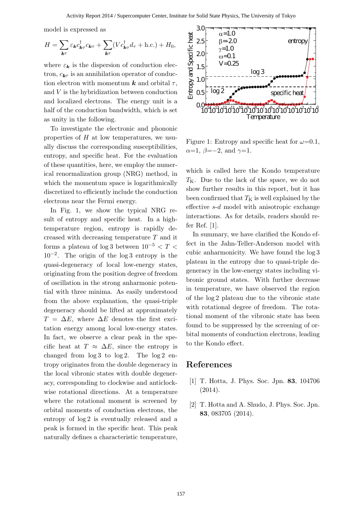model is expressed as

$$
H = \sum_{\mathbf{k}\tau} \varepsilon_{\mathbf{k}} c_{\mathbf{k}\tau}^{\dagger} c_{\mathbf{k}\tau} + \sum_{\mathbf{k}\tau} (V c_{\mathbf{k}\tau}^{\dagger} d_{\tau} + \text{h.c.}) + H_0,
$$

where  $\varepsilon_k$  is the dispersion of conduction electron,  $c_{\mathbf{k}\tau}$  is an annihilation operator of conduction electron with momentum **k** and orbital  $\tau$ , and V is the hybridization between conduction and localized electrons. The energy unit is a half of the conduction bandwidth, which is set as unity in the following.

To investigate the electronic and phononic properties of  $H$  at low temperatures, we usually discuss the corresponding susceptibilities, entropy, and specific heat. For the evaluation of these quantities, here, we employ the numerical renormalization group (NRG) method, in which the momentum space is logarithmically discretized to efficiently include the conduction electrons near the Fermi energy.

In Fig. 1, we show the typical NRG result of entropy and specific heat. In a hightemperature region, entropy is rapidly decreased with decreasing temperature T and it forms a plateau of log 3 between  $10^{-5} < T <$ 10−<sup>2</sup> . The origin of the log 3 entropy is the quasi-degeneracy of local low-energy states, originating from the position degree of freedom of oscillation in the strong anharmonic potential with three minima. As easily understood from the above explanation, the quasi-triple degeneracy should be lifted at approximately  $T = \Delta E$ , where  $\Delta E$  denotes the first excitation energy among local low-energy states. In fact, we observe a clear peak in the specific heat at  $T \approx \Delta E$ , since the entropy is changed from  $log 3$  to  $log 2$ . The  $log 2$  entropy originates from the double degeneracy in the local vibronic states with double degeneracy, corresponding to clockwise and anticlockwise rotational directions. At a temperature where the rotational moment is screened by orbital moments of conduction electrons, the entropy of log 2 is eventually released and a peak is formed in the specific heat. This peak naturally defines a characteristic temperature,



Figure 1: Entropy and specific heat for  $\omega=0.1$ ,  $\alpha=1, \beta=-2, \text{ and } \gamma=1.$ 

which is called here the Kondo temperature  $T<sub>K</sub>$ . Due to the lack of the space, we do not show further results in this report, but it has been confirmed that  $T<sub>K</sub>$  is well explained by the effective s-d model with anisotropic exchange interactions. As for details, readers should refer Ref. [1].

In summary, we have clarified the Kondo effect in the Jahn-Teller-Anderson model with cubic anharmonicity. We have found the log 3 plateau in the entropy due to quasi-triple degeneracy in the low-energy states including vibronic ground states. With further decrease in temperature, we have observed the region of the log 2 plateau due to the vibronic state with rotational degree of freedom. The rotational moment of the vibronic state has been found to be suppressed by the screening of orbital moments of conduction electrons, leading to the Kondo effect.

- [1] T. Hotta, J. Phys. Soc. Jpn. 83, 104706  $(2014).$
- [2] T. Hotta and A. Shudo, J. Phys. Soc. Jpn. 83, 083705 (2014).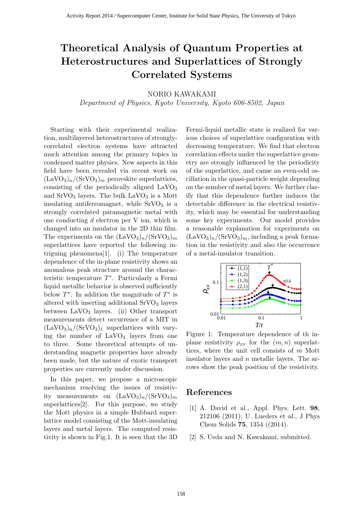# **Theoretical Analysis of Quantum Properties at Heterostructures and Superlattices of Strongly Correlated Systems**

#### NORIO KAWAKAMI

*Department of Physics, Kyoto University, Kyoto 606-8502, Japan*

Starting with their experimental realization, multilayered heterostructures of stronglycorrelated electron systems have attracted much attention among the primary topics in condensed matter physics. New aspects in this field have been revealed via recent work on  $(LaVO<sub>3</sub>)<sub>n</sub>/(SrVO<sub>3</sub>)<sub>m</sub>$  perovskite superlattices, consisting of the periodically aligned  $LaVO<sub>3</sub>$ and  $SrVO<sub>3</sub>$  layers. The bulk  $LaVO<sub>3</sub>$  is a Mott insulating antiferromagnet, while  $SrVO<sub>3</sub>$  is a strongly correlated paramagnetic metal with one conducting *d* electron per V ion, which is changed into an insulator in the 2D thin film. The experiments on the  $(LaVO<sub>3</sub>)<sub>n</sub>/(SrVO<sub>3</sub>)<sub>m</sub>$ superlattices have reported the following intriguing phenomena[1]. (i) The temperature dependence of the in-plane resistivity shows an anomalous peak structure around the characteristic temperature *T ∗* . Particularly a Fermi liquid metallic behavior is observed sufficiently below *T ∗* . In addition the magnitude of *T ∗* is altered with inserting additional  $SrVO<sub>3</sub>$  layers between  $LaVO<sub>3</sub>$  layers. (ii) Other transport measurements detect occurrence of a MIT in  $(LaVO<sub>3</sub>)<sub>n</sub>$ /(SrVO<sub>3</sub>)<sub>1</sub> superlattices with varying the number of  $LaVO<sub>3</sub>$  layers from one to three. Some theoretical attempts of understanding magnetic properties have already been made, but the nature of exotic transport properties are currently under discussion.

In this paper, we propose a microscopic mechanism resolving the issues of resistivity measurements on  $(LaVO<sub>3</sub>)<sub>n</sub>/(SrVO<sub>3</sub>)<sub>m</sub>$ superlattices[2]. For this purpose, we study the Mott physics in a simple Hubbard superlattice model consisting of the Mott-insulating layers and metal layers. The computed resistivity is shown in Fig.1. It is seen that the 3D Fermi-liquid metallic state is realized for various choices of superlattice configuration with decreasing temperature. We find that electron correlation effects under the superlattice geometry are strongly influenced by the periodicity of the superlattice, and cause an even-odd oscillation in the quasi-particle weight depending on the number of metal layers. We further clarify that this dependence further induces the detectable difference in the electrical resistivity, which may be essential for understanding some key experiments. Our model provides a reasonable explanation for experiments on  $(LaVO<sub>3</sub>)<sub>n</sub>/(SrVO<sub>3</sub>)<sub>m</sub>$ , including a peak formation in the resistivity and also the occurrence of a metal-insulator transition.



Figure 1: Temperature dependence of th inplane resistivity  $\rho_{xx}$  for the  $(m, n)$  superlattices, where the unit cell consists of *m* Mott insulator layers and *n* metallic layers. The arrows show the peak position of the resistivity.

- [1] A. David et al., Appl. Phys. Lett. **98**, 212106 (2011); U. Lueders et al., J Phys Chem Solids **75**, 1354 ((2014).
- [2] S. Ueda and N. Kawakami, submitted.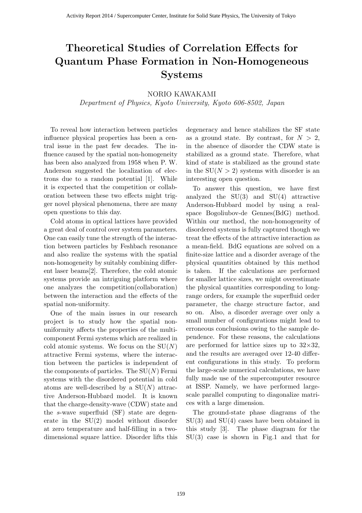# **Theoretical Studies of Correlation Effects for Quantum Phase Formation in Non-Homogeneous Systems**

#### NORIO KAWAKAMI

*Department of Physics, Kyoto University, Kyoto 606-8502, Japan*

To reveal how interaction between particles influence physical properties has been a central issue in the past few decades. The influence caused by the spatial non-homogeneity has been also analyzed from 1958 when P. W. Anderson suggested the localization of electrons due to a random potential [1]. While it is expected that the competition or collaboration between these two effects might trigger novel physical phenomena, there are many open questions to this day.

Cold atoms in optical lattices have provided a great deal of control over system parameters. One can easily tune the strength of the interaction between particles by Feshbach resonance and also realize the systems with the spatial non-homogeneity by suitably combining different laser beams[2]. Therefore, the cold atomic systems provide an intriguing platform where one analyzes the competition(collaboration) between the interaction and the effects of the spatial non-uniformity.

One of the main issues in our research project is to study how the spatial nonuniformity affects the properties of the multicomponent Fermi systems which are realized in cold atomic systems. We focus on the SU(*N*) attractive Fermi systems, where the interaction between the particles is independent of the components of particles. The  $SU(N)$  Fermi systems with the disordered potential in cold atoms are well-described by a SU(*N*) attractive Anderson-Hubbard model. It is known that the charge-density-wave (CDW) state and the *s*-wave superfluid (SF) state are degenerate in the SU(2) model without disorder at zero temperature and half-filling in a twodimensional square lattice. Disorder lifts this degeneracy and hence stabilizes the SF state as a ground state. By contrast, for  $N > 2$ , in the absence of disorder the CDW state is stabilized as a ground state. Therefore, what kind of state is stabilized as the ground state in the  $SU(N > 2)$  systems with disorder is an interesting open question.

To answer this question, we have first analyzed the  $SU(3)$  and  $SU(4)$  attractive Anderson-Hubbard model by using a realspace Bogoliubov-de Gennes(BdG) method. Within our method, the non-homogeneity of disordered systems is fully captured though we treat the effects of the attractive interaction as a mean-field. BdG equations are solved on a finite-size lattice and a disorder average of the physical quantities obtained by this method is taken. If the calculations are performed for smaller lattice sizes, we might overestimate the physical quantities corresponding to longrange orders, for example the superfluid order parameter, the charge structure factor, and so on. Also, a disorder average over only a small number of configurations might lead to erroneous conclusions owing to the sample dependence. For these reasons, the calculations are performed for lattice sizes up to 32*×*32, and the results are averaged over 12-40 different configurations in this study. To preform the large-scale numerical calculations, we have fully made use of the supercomputer resource at ISSP. Namely, we have performed largescale parallel computing to diagonalize matrices with a large dimension.

The ground-state phase diagrams of the SU(3) and SU(4) cases have been obtained in this study [3]. The phase diagram for the SU(3) case is shown in Fig.1 and that for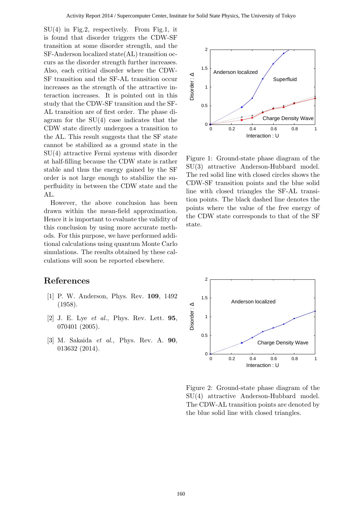SU(4) in Fig.2, respectively. From Fig.1, it is found that disorder triggers the CDW-SF transition at some disorder strength, and the SF-Anderson localized state(AL) transition occurs as the disorder strength further increases. Also, each critical disorder where the CDW-SF transition and the SF-AL transition occur increases as the strength of the attractive interaction increases. It is pointed out in this study that the CDW-SF transition and the SF-AL transition are of first order. The phase diagram for the  $SU(4)$  case indicates that the CDW state directly undergoes a transition to the AL. This result suggests that the SF state cannot be stabilized as a ground state in the SU(4) attractive Fermi systems with disorder at half-filling because the CDW state is rather stable and thus the energy gained by the SF order is not large enough to stabilize the superfluidity in between the CDW state and the AL.

However, the above conclusion has been drawn within the mean-field approximation. Hence it is important to evaluate the validity of this conclusion by using more accurate methods. For this purpose, we have performed additional calculations using quantum Monte Carlo simulations. The results obtained by these calculations will soon be reported elsewhere.

- [1] P. W. Anderson, Phys. Rev. **109**, 1492 (1958).
- [2] J. E. Lye *et al.*, Phys. Rev. Lett. **95**, 070401 (2005).
- [3] M. Sakaida *et al.*, Phys. Rev. A. **90**, 013632 (2014).



Figure 1: Ground-state phase diagram of the SU(3) attractive Anderson-Hubbard model. The red solid line with closed circles shows the CDW-SF transition points and the blue solid line with closed triangles the SF-AL transition points. The black dashed line denotes the points where the value of the free energy of the CDW state corresponds to that of the SF state.



Figure 2: Ground-state phase diagram of the SU(4) attractive Anderson-Hubbard model. The CDW-AL transition points are denoted by the blue solid line with closed triangles.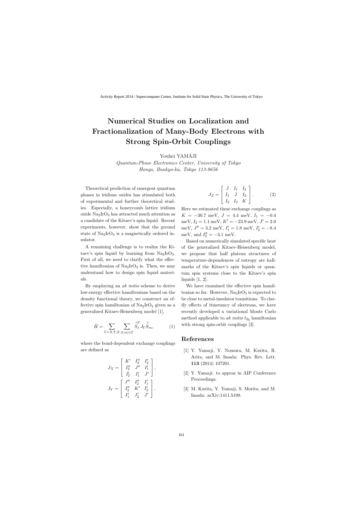# **Numerical Studies on Localization and Fractionalization of Many-Body Electrons with Strong Spin-Orbit Couplings**

Youhei YAMAJI

*Quantum-Phase Electronics Center, University of Tokyo Hongo, Bunkyo-ku, Tokyo 113-8656*

Theoretical prediction of emergent quantum phases in iridium oxides has stimulated both of experimental and further theoretical studies. Especially, a honeycomb lattice iridium oxide Na2IrO<sup>3</sup> has attracted much attention as a candidate of the Kitaev's spin liquid. Recent experiments, however, show that the ground state of  $\text{Na}_2\text{IrO}_3$  is a magnetically ordered insulator.

A remaining challenge is to realize the Kitaev's spin liquid by learning from  $Na<sub>2</sub>IrO<sub>3</sub>$ . First of all, we need to clarify what the effective hamiltonian of  $\text{Na}_2\text{IrO}_3$  is. Then, we may understand how to design spin liquid materials.

By employing an *ab initio* scheme to derive low-energy effective hamiltonians based on the density functional theory, we construct an effective spin hamiltonian of  $\text{Na}_2\text{IrO}_3$  given as a generalized Kitaev-Heisenberg model [1],

$$
\hat{H} = \sum_{\Gamma=X,Y,Z} \sum_{\langle \ell,m \rangle \in \Gamma} \vec{\hat{S}}_{\ell}^T J_{\Gamma} \vec{\hat{S}}_m, \tag{1}
$$

where the bond-dependent exchange couplings are defined as

$$
J_X = \begin{bmatrix} K' & I_2'' & I_2' \\ I_2'' & J'' & I_1' \\ I_2' & I_1' & J' \end{bmatrix},
$$
  

$$
J_Y = \begin{bmatrix} J'' & I_2'' & I_1' \\ I_2'' & K' & I_2' \\ I_1' & I_2' & J' \end{bmatrix},
$$

$$
J_Z = \begin{bmatrix} J & I_1 & I_2 \\ I_1 & J & I_2 \\ I_2 & I_2 & K \end{bmatrix} .
$$
 (2)

Here we estimated these exchange couplings as  $K = -30.7$  meV,  $J = 4.4$  meV,  $I_1 = -0.4$  $\text{meV}, I_2 = 1.1 \text{ meV}, K' = -23.9 \text{ meV}, J' = 2.0$ meV,  $J'' = 3.2$  meV,  $I'_1 = 1.8$  meV,  $I'_2 = -8.4$ meV, and  $I''_2 = -3.1$  meV.

Based on numerically simulated specific heat of the generalized Kitaev-Heisenberg model, we propose that half plateau structures of temperature-dependences of entropy are hallmarks of the Kitaev's spin liquids or quantum spin systems close to the Kitaev's spin liquids [1, 2].

We have examined the effective spin hamiltonian so far. However,  $\text{Na}_2\text{IrO}_3$  is expected to be close to metal-insulator transitions. To clarify effects of itinerancy of electrons, we have recently developed a variational Monte Carlo method applicable to *ab initio*  $t_{2g}$  hamiltonian with strong spin-orbit couplings [3].

- [1] Y. Yamaji, Y. Nomura, M. Kurita, R. Arita, and M. Imada: Phys. Rev. Lett. **113** (2014) 107201.
- [2] Y. Yamaji: to appear in AIP Conference Proceedings.
- [3] M. Kurita, Y. Yamaji, S. Morita, and M. Imada: arXiv:1411.5198.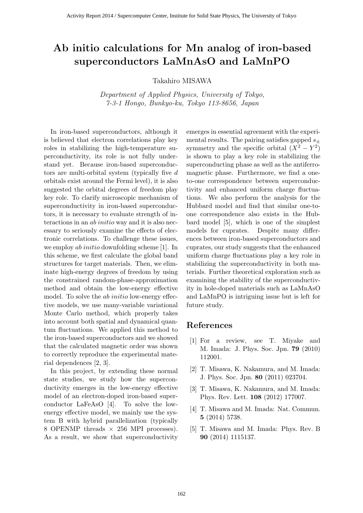### **Ab initio calculations for Mn analog of iron-based superconductors LaMnAsO and LaMnPO**

Takahiro MISAWA

*Department of Applied Physics, University of Tokyo, 7-3-1 Hongo, Bunkyo-ku, Tokyo 113-8656, Japan*

In iron-based superconductors, although it is believed that electron correlations play key roles in stabilizing the high-temperature superconductivity, its role is not fully understand yet. Because iron-based superconductors are multi-orbital system (typically five *d* orbitals exist around the Fermi level), it is also suggested the orbital degrees of freedom play key role. To clarify microscopic mechanism of superconductivity in iron-based superconductors, it is necessary to evaluate strength of interactions in an *ab initio* way and it is also necessary to seriously examine the effects of electronic correlations. To challenge these issues, we employ *ab initio* downfolding scheme [1]. In this scheme, we first calculate the global band structures for target materials. Then, we eliminate high-energy degrees of freedom by using the constrained random-phase-approximation method and obtain the low-energy effective model. To solve the *ab initio* low-energy effective models, we use many-variable variational Monte Carlo method, which properly takes into account both spatial and dynamical quantum fluctuations. We applied this method to the iron-based superconductors and we showed that the calculated magnetic order was shown to correctly reproduce the experimental material dependences [2, 3].

In this project, by extending these normal state studies, we study how the superconductivity emerges in the low-energy effective model of an electron-doped iron-based superconductor LaFeAsO [4]. To solve the lowenergy effective model, we mainly use the system B with hybrid parallelization (typically 8 OPENMP threads *×* 256 MPI processes). As a result, we show that superconductivity emerges in essential agreement with the experimental results. The pairing satisfies gapped *s<sup>±</sup>* symmetry and the specific orbital  $(X^2 - Y^2)$ is shown to play a key role in stabilizing the superconducting phase as well as the antiferromagnetic phase. Furthermore, we find a oneto-one correspondence between superconductivity and enhanced uniform charge fluctuations. We also perform the analysis for the Hubbard model and find that similar one-toone correspondence also exists in the Hubbard model [5], which is one of the simplest models for cuprates. Despite many differences between iron-based superconductors and cuprates, our study suggests that the enhanced uniform charge fluctuations play a key role in stabilizing the superconductivity in both materials. Further theoretical exploration such as examining the stability of the superconductivity in hole-doped materials such as LaMnAsO and LaMnPO is intriguing issue but is left for future study.

- [1] For a review, see T. Miyake and M. Imada: J. Phys. Soc. Jpn. **79** (2010) 112001.
- [2] T. Misawa, K. Nakamura, and M. Imada: J. Phys. Soc. Jpn. **80** (2011) 023704.
- [3] T. Misawa, K. Nakamura, and M. Imada: Phys. Rev. Lett. **108** (2012) 177007.
- [4] T. Misawa and M. Imada: Nat. Commun. **5** (2014) 5738.
- [5] T. Misawa and M. Imada: Phys. Rev. B **90** (2014) 1115137.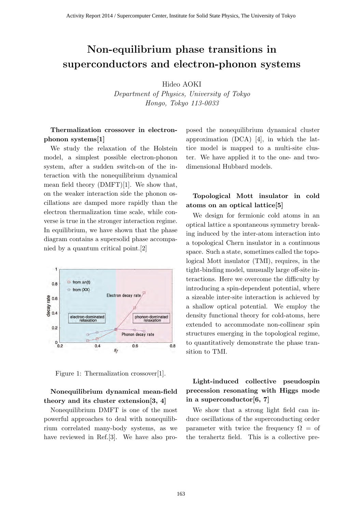# **Non-equilibrium phase transitions in superconductors and electron-phonon systems**

Hideo AOKI

*Department of Physics, University of Tokyo Hongo, Tokyo 113-0033*

#### **Thermalization crossover in electronphonon systems[1]**

We study the relaxation of the Holstein model, a simplest possible electron-phonon system, after a sudden switch-on of the interaction with the nonequilibrium dynamical mean field theory (DMFT)[1]. We show that, on the weaker interaction side the phonon oscillations are damped more rapidly than the electron thermalization time scale, while converse is true in the stronger interaction regime. In equilibrium, we have shown that the phase diagram contains a supersolid phase accompanied by a quantum critical point.[2]



Figure 1: Thermalization crossover[1].

#### **Nonequilibrium dynamical mean-field theory and its cluster extension[3, 4]**

Nonequilibrium DMFT is one of the most powerful approaches to deal with nonequilibrium correlated many-body systems, as we have reviewed in Ref. [3]. We have also proposed the nonequilibrium dynamical cluster approximation (DCA) [4], in which the lattice model is mapped to a multi-site cluster. We have applied it to the one- and twodimensional Hubbard models.

#### **Topological Mott insulator in cold atoms on an optical lattice[5]**

We design for fermionic cold atoms in an optical lattice a spontaneous symmetry breaking induced by the inter-atom interaction into a topological Chern insulator in a continuous space. Such a state, sometimes called the topological Mott insulator (TMI), requires, in the tight-binding model, unusually large off-site interactions. Here we overcome the difficulty by introducing a spin-dependent potential, where a sizeable inter-site interaction is achieved by a shallow optical potential. We employ the density functional theory for cold-atoms, here extended to accommodate non-collinear spin structures emerging in the topological regime, to quantitatively demonstrate the phase transition to TMI.

### **Light-induced collective pseudospin precession resonating with Higgs mode in a superconductor[6, 7]**

We show that a strong light field can induce oscillations of the superconducting order parameter with twice the frequency  $\Omega =$  of the terahertz field. This is a collective pre-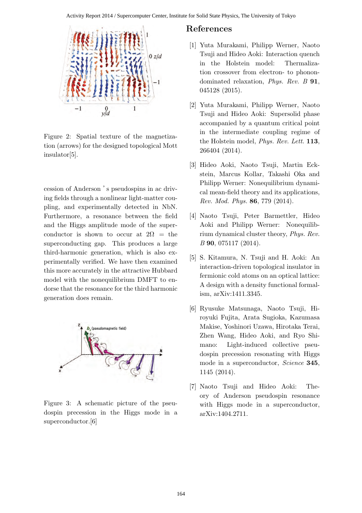

Figure 2: Spatial texture of the magnetization (arrows) for the designed topological Mott insulator[5].

cession of Anderson 's pseudospins in ac driving fields through a nonlinear light-matter coupling, and experimentally detected in NbN. Furthermore, a resonance between the field and the Higgs amplitude mode of the superconductor is shown to occur at  $2\Omega =$  the superconducting gap. This produces a large third-harmonic generation, which is also experimentally verified. We have then examined this more accurately in the attractive Hubbard model with the nonequilibrium DMFT to endorse that the resonance for the third harmonic generation does remain.



Figure 3: A schematic picture of the pseudospin precession in the Higgs mode in a superconductor.[6]

- [1] Yuta Murakami, Philipp Werner, Naoto Tsuji and Hideo Aoki: Interaction quench in the Holstein model: Thermalization crossover from electron- to phonondominated relaxation, *Phys. Rev. B* **91**, 045128 (2015).
- [2] Yuta Murakami, Philipp Werner, Naoto Tsuji and Hideo Aoki: Supersolid phase accompanied by a quantum critical point in the intermediate coupling regime of the Holstein model, *Phys. Rev. Lett.* **113**, 266404 (2014).
- [3] Hideo Aoki, Naoto Tsuji, Martin Eckstein, Marcus Kollar, Takashi Oka and Philipp Werner: Nonequilibrium dynamical mean-field theory and its applications, *Rev. Mod. Phys.* **86**, 779 (2014).
- [4] Naoto Tsuji, Peter Barmettler, Hideo Aoki and Philipp Werner: Nonequilibrium dynamical cluster theory, *Phys. Rev. B* **90**, 075117 (2014).
- [5] S. Kitamura, N. Tsuji and H. Aoki: An interaction-driven topological insulator in fermionic cold atoms on an optical lattice: A design with a density functional formalism, arXiv:1411.3345.
- [6] Ryusuke Matsunaga, Naoto Tsuji, Hiroyuki Fujita, Arata Sugioka, Kazumasa Makise, Yoshinori Uzawa, Hirotaka Terai, Zhen Wang, Hideo Aoki, and Ryo Shimano: Light-induced collective pseudospin precession resonating with Higgs mode in a superconductor, *Science* **345**, 1145 (2014).
- [7] Naoto Tsuji and Hideo Aoki: Theory of Anderson pseudospin resonance with Higgs mode in a superconductor, arXiv:1404.2711.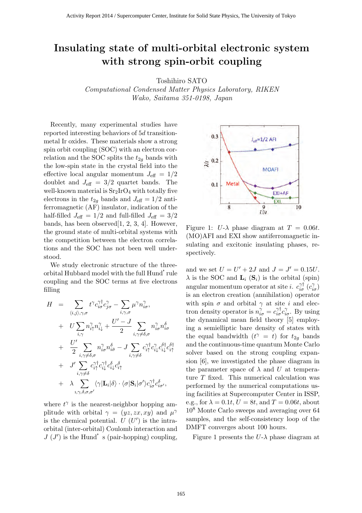## Insulating state of multi-orbital electronic system with strong spin-orbit coupling

Toshihiro SATO

Computational Condensed Matter Physics Laboratory, RIKEN Wako, Saitama 351-0198, Japan

Recently, many experimental studies have reported interesting behaviors of 5d transitionmetal Ir oxides. These materials show a strong spin orbit coupling (SOC) with an electron correlation and the SOC splits the  $t_{2g}$  bands with the low-spin state in the crystal field into the effective local angular momentum  $J_{\text{eff}} = 1/2$ doublet and  $J_{\text{eff}} = 3/2$  quartet bands. The well-known material is  $Sr<sub>2</sub>IrO<sub>4</sub>$  with totally five electrons in the  $t_{2g}$  bands and  $J_{\text{eff}} = 1/2$  antiferromagnetic (AF) insulator, indication of the half-filled  $J_{\text{eff}} = 1/2$  and full-filled  $J_{\text{eff}} = 3/2$ bands, has been observed[1, 2, 3, 4]. However, the ground state of multi-orbital systems with the competition between the electron correlations and the SOC has not been well understood.

We study electronic structure of the threeorbital Hubbard model with the full Hund'rule coupling and the SOC terms at five electrons filling

$$
H = \sum_{\langle i,j\rangle,\gamma,\sigma} t^{\gamma} c_{i\sigma}^{\gamma\dagger} c_{j\sigma}^{\gamma} - \sum_{i,\gamma,\sigma} \mu^{\gamma} n_{i\sigma}^{\gamma},
$$
  
+ 
$$
U \sum_{i,\gamma} n_{i\uparrow}^{\gamma} n_{i\downarrow}^{\gamma} + \frac{U' - J}{2} \sum_{i,\gamma \neq \delta,\sigma} n_{i\sigma}^{\gamma} n_{i\sigma}^{\delta}
$$
  
+ 
$$
\frac{U'}{2} \sum_{i,\gamma \neq \delta,\sigma} n_{i\sigma}^{\gamma} n_{i\bar{\sigma}}^{\delta} - J \sum_{i,\gamma \neq \delta} c_{i\uparrow}^{\gamma\dagger} c_{i\downarrow}^{\gamma} c_{i\downarrow}^{\delta\dagger} c_{i\uparrow}^{\delta\dagger} c_{i\uparrow}^{\delta\dagger}
$$
  
+ 
$$
J' \sum_{i,\gamma \neq \delta} c_{i\uparrow}^{\gamma\dagger} c_{i\downarrow}^{\gamma\dagger} c_{i\downarrow}^{\delta} c_{i\uparrow}^{\delta}
$$
  
+ 
$$
\lambda \sum_{i,\gamma,\delta,\sigma,\sigma'} \langle \gamma | \mathbf{L}_i | \delta \rangle \cdot \langle \sigma | \mathbf{S}_i | \sigma' \rangle c_{i\sigma}^{\gamma\dagger} c_{i\sigma'}^{\delta},
$$

where  $t^{\gamma}$  is the nearest-neighbor hopping amplitude with orbital  $\gamma = (yz, zx, xy)$  and  $\mu^{\gamma}$ is the chemical potential.  $U(U')$  is the intraorbital (inter-orbital) Coulomb interaction and  $J(J')$  is the Hund's (pair-hopping) coupling,



Figure 1:  $U-\lambda$  phase diagram at  $T = 0.06t$ . (MO)AFI and EXI show antiferromagnetic insulating and excitonic insulating phases, respectively.

and we set  $U = U' + 2J$  and  $J = J' = 0.15U$ .  $\lambda$  is the SOC and  $\mathbf{L}_i$  (S<sub>i</sub>) is the orbital (spin) angular momentum operator at site *i*.  $c_{i\sigma}^{\gamma\dagger}$   $(c_{i\sigma}^{\gamma})$ is an electron creation (annihilation) operator with spin  $\sigma$  and orbital  $\gamma$  at site i and electron density operator is  $n_{i\sigma}^{\gamma} = c_{i\sigma}^{\gamma \dagger} c_{i\sigma}^{\gamma}$ . By using the dynamical mean field theory [5] employing a semielliptic bare density of states with the equal bandwidth  $(t^{\gamma} = t)$  for  $t_{2g}$  bands and the continuous-time quantum Monte Carlo solver based on the strong coupling expansion [6], we investigated the phase diagram in the parameter space of  $\lambda$  and U at temperature T fixed. This numerical calculation was performed by the numerical computations using facilities at Supercomputer Center in ISSP, e.g., for  $\lambda = 0.1t$ ,  $U = 8t$ , and  $T = 0.06t$ , about 10<sup>8</sup> Monte Carlo sweeps and averaging over 64 samples, and the self-consistency loop of the DMFT converges about 100 hours.

Figure 1 presents the  $U<sub>-\lambda</sub>$  phase diagram at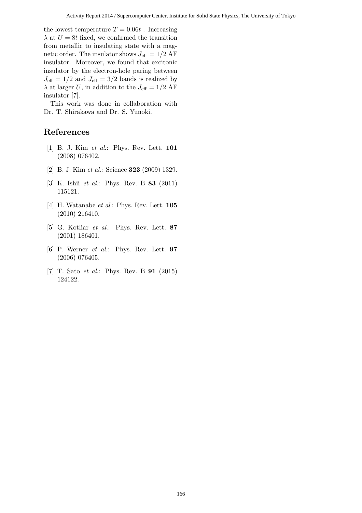the lowest temperature  $T = 0.06t$ . Increasing  $\lambda$  at  $U = 8t$  fixed, we confirmed the transition from metallic to insulating state with a magnetic order. The insulator shows  $J_{\text{eff}} = 1/2 \text{ AF}$ insulator. Moreover, we found that excitonic insulator by the electron-hole paring between  $J_{\text{eff}} = 1/2$  and  $J_{\text{eff}} = 3/2$  bands is realized by  $\lambda$  at larger U, in addition to the  $J_{\text{eff}} = 1/2 \text{ AF}$ insulator [7].

This work was done in collaboration with Dr. T. Shirakawa and Dr. S. Yunoki.

- [1] B. J. Kim et al.: Phys. Rev. Lett. 101 (2008) 076402.
- [2] B. J. Kim et al.: Science **323** (2009) 1329.
- [3] K. Ishii *et al.*: Phys. Rev. B **83** (2011) 115121.
- [4] H. Watanabe et al.: Phys. Rev. Lett. **105** (2010) 216410.
- [5] G. Kotliar et al.: Phys. Rev. Lett. 87 (2001) 186401.
- [6] P. Werner et al.: Phys. Rev. Lett. 97 (2006) 076405.
- [7] T. Sato et al.: Phys. Rev. B 91 (2015) 124122.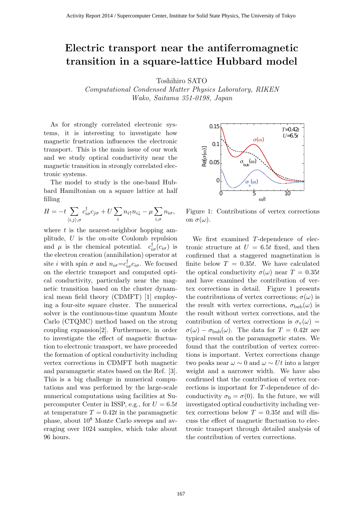### Electric transport near the antiferromagnetic transition in a square-lattice Hubbard model

Toshihiro SATO

Computational Condensed Matter Physics Laboratory, RIKEN Wako, Saitama 351-0198, Japan

As for strongly correlated electronic systems, it is interesting to investigate how magnetic frustration influences the electronic transport. This is the main issue of our work and we study optical conductivity near the magnetic transition in strongly correlated electronic systems.

The model to study is the one-band Hubbard Hamiltonian on a square lattice at half filling

$$
H = -t \sum_{\langle i,j \rangle,\sigma} c^{\dagger}_{i\sigma} c_{j\sigma} + U \sum_{i} n_{i\uparrow} n_{i\downarrow} - \mu \sum_{i,\sigma} n_{i\sigma},
$$

where  $t$  is the nearest-neighbor hopping amplitude, U is the on-site Coulomb repulsion and  $\mu$  is the chemical potential.  $c_{i\sigma}^{\dagger}(c_{i\sigma})$  is the electron creation (annihilation) operator at site *i* with spin  $\sigma$  and  $n_{i\sigma} = c_{i\sigma}^{\dagger} c_{i\sigma}$ . We focused on the electric transport and computed optical conductivity, particularly near the magnetic transition based on the cluster dynamical mean field theory (CDMFT) [1] employing a four-site square cluster. The numerical solver is the continuous-time quantum Monte Carlo (CTQMC) method based on the strong coupling expansion[2]. Furthermore, in order to investigate the effect of magnetic fluctuation to electronic transport, we have proceeded the formation of optical conductivity including vertex corrections in CDMFT both magnetic and paramagnetic states based on the Ref. [3]. This is a big challenge in numerical computations and was performed by the large-scale numerical computations using facilities at Supercomputer Center in ISSP, e.g., for  $U = 6.5t$ at temperature  $T = 0.42t$  in the paramagnetic phase, about 10<sup>8</sup> Monte Carlo sweeps and averaging over 1024 samples, which take about 96 hours.



Figure 1: Contributions of vertex corrections on  $\sigma(\omega)$ .

We first examined T-dependence of electronic structure at  $U = 6.5t$  fixed, and then confirmed that a staggered magnetization is finite below  $T = 0.35t$ . We have calculated the optical conductivity  $\sigma(\omega)$  near  $T = 0.35t$ and have examined the contribution of vertex corrections in detail. Figure 1 presents the contributions of vertex corrections;  $\sigma(\omega)$  is the result with vertex corrections,  $\sigma_{\text{bub}}(\omega)$  is the result without vertex corrections, and the contribution of vertex corrections is  $\sigma_v(\omega)$  =  $\sigma(\omega) - \sigma_{\text{bub}}(\omega)$ . The data for  $T = 0.42t$  are typical result on the paramagnetic states. We found that the contribution of vertex corrections is important. Vertex corrections change two peaks near  $\omega \sim 0$  and  $\omega \sim Ut$  into a larger weight and a narrower width. We have also confirmed that the contribution of vertex corrections is important for T-dependence of dcconductivity  $\sigma_0 = \sigma(0)$ . In the future, we will investigated optical conductivity including vertex corrections below  $T = 0.35t$  and will discuss the effect of magnetic fluctuation to electronic transport through detailed analysis of the contribution of vertex corrections.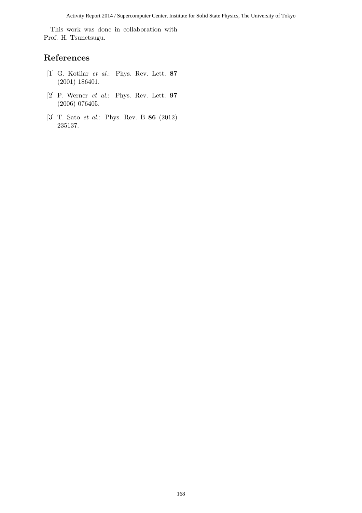This work was done in collaboration with Prof. H. Tsunetsugu.

- [1] G. Kotliar et al.: Phys. Rev. Lett. 87 (2001) 186401.
- [2] P. Werner  $et \ al.:$  Phys. Rev. Lett.  $97$ (2006) 076405.
- [3] T. Sato et al.: Phys. Rev. B 86 (2012) 235137.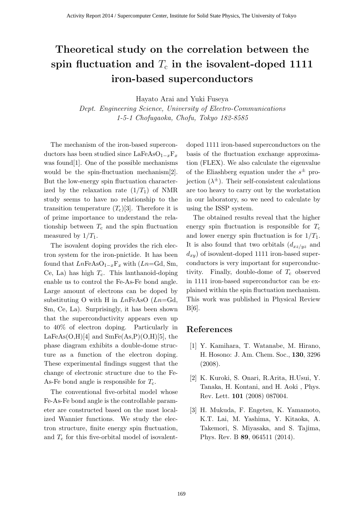# **Theoretical study on the correlation between the** spin fluctuation and  $T_c$  in the isovalent-doped 1111 **iron-based superconductors**

Hayato Arai and Yuki Fuseya

*Dept. Engineering Science, University of Electro-Communications 1-5-1 Chofugaoka, Chofu, Tokyo 182-8585*

The mechanism of the iron-based superconductors has been studied since LaFeAsO1*−x*F*<sup>x</sup>* was found[1]. One of the possible mechanisms would be the spin-fluctuation mechanism[2]. But the low-energy spin fluctuation characterized by the relaxation rate  $(1/T_1)$  of NMR study seems to have no relationship to the transition temperature  $(T_c)[3]$ . Therefore it is of prime importance to understand the relationship between  $T_c$  and the spin fluctuation measured by  $1/T_1$ .

The isovalent doping provides the rich electron system for the iron-pnictide. It has been found that  $LnFeAsO<sub>1-x</sub>F<sub>x</sub>$  with ( $Ln=Gd$ , Sm, Ce, La) has high  $T_c$ . This lanthanoid-doping enable us to control the Fe-As-Fe bond angle. Large amount of electrons can be doped by substituting O with H in *Ln*FeAsO (*Ln*=Gd, Sm, Ce, La). Surprisingly, it has been shown that the superconductivity appears even up to 40% of electron doping. Particularly in  $LaFeAs(O,H)[4]$  and  $SmFe(As, P)(O,H)[5]$ , the phase diagram exhibits a double-dome structure as a function of the electron doping. These experimental findings suggest that the change of electronic structure due to the Fe-As-Fe bond angle is responsible for  $T_c$ .

The conventional five-orbital model whose Fe-As-Fe bond angle is the controllable parameter are constructed based on the most localized Wannier functions. We study the electron structure, finite energy spin fluctuation, and  $T_c$  for this five-orbital model of isovalentdoped 1111 iron-based superconductors on the basis of the fluctuation exchange approximation (FLEX). We also calculate the eigenvalue of the Eliashberg equation under the *s ±* projection  $(\lambda^{\pm})$ . Their self-consistent calculations are too heavy to carry out by the workstation in our laboratory, so we need to calculate by using the ISSP system.

The obtained results reveal that the higher energy spin fluctuation is responsible for  $T_c$ and lower energy spin fluctuation is for 1*/T*1. It is also found that two orbitals  $(d_{xz/yz}$  and  $d_{xy}$ ) of isovalent-doped 1111 iron-based superconductors is very important for superconductivity. Finally, double-dome of  $T_c$  observed in 1111 iron-based superconductor can be explained within the spin fluctuation mechanism. This work was published in Physical Review B[6].

- [1] Y. Kamihara, T. Watanabe, M. Hirano, H. Hosono: J. Am. Chem. Soc., **130**, 3296 (2008).
- [2] K. Kuroki, S. Onari, R.Arita, H.Usui, Y. Tanaka, H. Kontani, and H. Aoki , Phys. Rev. Lett. **101** (2008) 087004.
- [3] H. Mukuda, F. Engetsu, K. Yamamoto, K.T. Lai, M. Yashima, Y. Kitaoka, A. Takemori, S. Miyasaka, and S. Tajima, Phys. Rev. B **89**, 064511 (2014).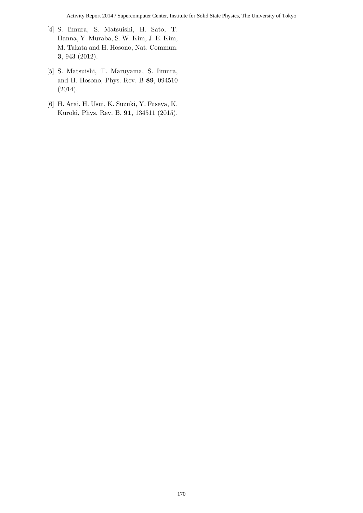- [4] S. Iimura, S. Matsuishi, H. Sato, T. Hanna, Y. Muraba, S. W. Kim, J. E. Kim, M. Takata and H. Hosono, Nat. Commun. **3**, 943 (2012).
- [5] S. Matsuishi, T. Maruyama, S. Iimura, and H. Hosono, Phys. Rev. B **89**, 094510 (2014).
- [6] H. Arai, H. Usui, K. Suzuki, Y. Fuseya, K. Kuroki, Phys. Rev. B. **91**, 134511 (2015).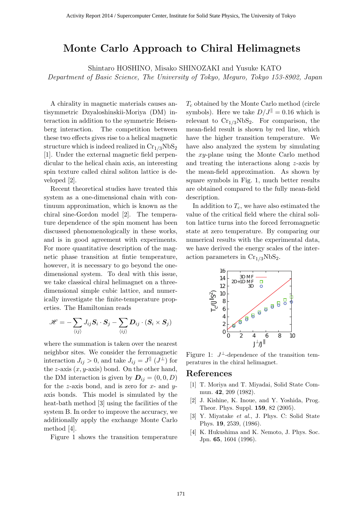### **Monte Carlo Approach to Chiral Helimagnets**

Shintaro HOSHINO, Misako SHINOZAKI and Yusuke KATO *Department of Basic Science, The University of Tokyo, Meguro, Tokyo 153-8902, Japan*

A chirality in magnetic materials causes antisymmetric Dzyaloshinskii-Moriya (DM) interaction in addition to the symmetric Heisenberg interaction. The competition between these two effects gives rise to a helical magnetic structure which is indeed realized in  $Cr_{1/3}NbS_2$ [1]. Under the external magnetic field perpendicular to the helical chain axis, an interesting spin texture called chiral soliton lattice is developed [2].

Recent theoretical studies have treated this system as a one-dimensional chain with continuum approximation, which is known as the chiral sine-Gordon model [2]. The temperature dependence of the spin moment has been discussed phenomenologically in these works, and is in good agreement with experiments. For more quantitative description of the magnetic phase transition at fintie temperature, however, it is necessary to go beyond the onedimensional system. To deal with this issue, we take classical chiral helimagnet on a threedimensional simple cubic lattice, and numerically investigate the finite-temperature properties. The Hamiltonian reads

$$
\mathscr{H} = -\sum_{\langle ij \rangle} J_{ij} \bm{S}_i \cdot \bm{S}_j - \sum_{\langle ij \rangle} \bm{D}_{ij} \cdot (\bm{S}_i \times \bm{S}_j)
$$

where the summation is taken over the nearest neighbor sites. We consider the ferromagnetic interaction  $J_{ij} > 0$ , and take  $J_{ij} = J^{\parallel} (J^{\perp})$  for the *z*-axis (*x, y*-axis) bond. On the other hand, the DM interaction is given by  $D_{ij} = (0, 0, D)$ for the *z*-axis bond, and is zero for *x*- and *y*axis bonds. This model is simulated by the heat-bath method [3] using the facilities of the system B. In order to improve the accuracy, we additionally apply the exchange Monte Carlo method [4].

Figure 1 shows the transition temperature

*T<sup>c</sup>* obtained by the Monte Carlo method (circle symbols). Here we take  $D/J^{\parallel} = 0.16$  which is relevant to  $Cr_{1/3}NbS_2$ . For comparison, the mean-field result is shown by red line, which have the higher transition temperature. We have also analyzed the system by simulating the *xy*-plane using the Monte Carlo method and treating the interactions along *z*-axis by the mean-field approximation. As shown by square symbols in Fig. 1, much better results are obtained compared to the fully mean-field description.

In addition to  $T_c$ , we have also estimated the value of the critical field where the chiral soliton lattice turns into the forced ferromagnetic state at zero temperature. By comparing our numerical results with the experimental data, we have derived the energy scales of the interaction parameters in  $Cr_{1/3}NbS_2$ .



Figure 1:  $J^{\perp}$ -dependence of the transition temperatures in the chiral helimagnet.

- [1] T. Moriya and T. Miyadai, Solid State Commun. **42**, 209 (1982).
- [2] J. Kishine, K. Inoue, and Y. Yoshida, Prog. Theor. Phys. Suppl. **159**, 82 (2005).
- [3] Y. Miyatake *et al.*, J. Phys. C: Solid State Phys. **19**, 2539, (1986).
- [4] K. Hukushima and K. Nemoto, J. Phys. Soc. Jpn. **65**, 1604 (1996).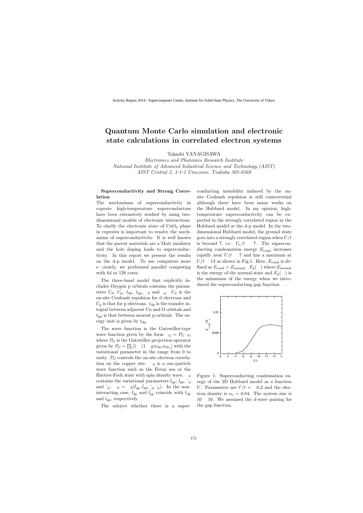### **Quantum Monte Carlo simulation and electronic state calculations in correlated electron systems**

Takashi YANAGISAWA

*Electronics and Photonics Research Institute National Institute of Advanced Industrial Science and Technology (AIST) AIST Central 2, 1-1-1 Umezono, Tsukuba 305-8568*

#### **Superconductivity and Strong Correlation**

The mechanisms of superconductivity in cuprate high-temperature superconductors have been extensively studied by using twodimensional models of electronic interactions. To clarify the electronic state of  $CuO<sub>2</sub>$  plane in cuprates is important to resolve the mechanism of superconductivity. It is well known that the parent materials are a Mott insulator and the hole doping leads to superconductivity. In this report we present the results on the d-p model. To use computers more e ciently, we performed parallel computing with 64 or 128 cores.

The three-band model that explicitly includes Oxygen p orbitals contains the parameters  $U_{d}$ ,  $U_{p}$ ,  $t_{dp}$ ,  $t_{pp}$ ,  $d$  and  $p$ .  $U_{d}$  is the on-site Coulomb repulsion for d electrons and  $U_p$  is that for p electrons.  $t_{dp}$  is the transfer integral between adjacent Cu and O orbitals and  $t_{\rm pp}$  is that between nearest p orbitals. The energy unit is given by  $t_{dp}$ .

The wave function is the Gutzwiller-type wave function given by the form  $G = P_G$  0, where  $P_G$  is the Gutzwiller projection operator given by  $P_G = \prod_i [1 \quad (1 \quad g) n_{di\uparrow} n_{di\downarrow}]$  with the variational parameter in the range from 0 to unity.  $P_G$  controls the on-site electron correlation on the copper site.  $\theta$  is a one-particle wave function such as the Fermi sea or the Hartree-Fock state with spin density wave.  $\alpha$ contains the variational parameters  $t_{dp}$ ,  $t_{pp}$ ,  $\tilde{a}$ and  $\tilde{p}$ :  $0 = 0(\tilde{t}_{dp}, \tilde{t}_{pp}, \tilde{t}_{dp}, \tilde{t}_{p})$ . In the noninteracting case,  $\tilde{t}_{dp}$  and  $\tilde{t}_{pp}$  coincide with  $t_{dp}$ and *tpp*, respectively.

The subject whether there is a super-

conducting instability induced by the onsite Coulomb repulsion is still controversial although there have been many works on the Hubbard model. In my opinion, hightemperature superconductivity can be expected in the strongly correlated region in the Hubbard model or the d-p model. In the twodimensional Hubbard model, the ground state goes into a strongly correlated region when *U/t* is beyond 7, i.e.  $U_c/t$  7. The superconducting condensation energy  $E_{\text{cond}}$  increases rapidly near  $U/t$  7 and has a maxmum at  $U/t$  12 as shown in Fig.1. Here,  $E_{\text{cond}}$  is dened as  $E_{\text{cond}} = E_{\text{normal}}$   $E_{\text{g}}(x)$  where  $E_{\text{normal}}$ is the energy of the normal state and  $E_{\rm g}$ ( $\cdot$ ) is the minumum of the energy when we introduced the superconducting gap function ∆.



Figure 1: Superconducting condensation energy of the 2D Hubbard model as a function *U*. Parameters are  $t'/t = 0.2$  and the electron density is  $n_e = 0.84$ . The system size is 10 10. We assumed the *d*-wave pairing for the gap function.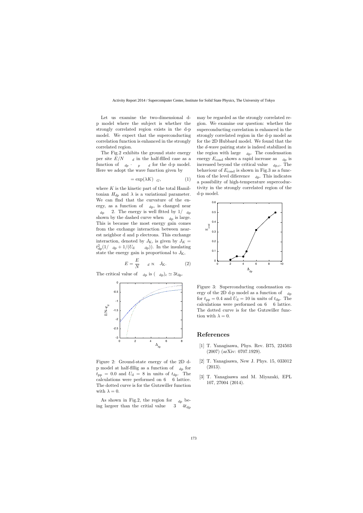Let us examine the two-dimensional dp model where the subject is whether the strongly correlated region exists in the d-p model. We expect that the superconducting correlation function is enhanced in the strongly correlated region.

The Fig.2 exhibits the ground state energy per site  $E/N$  *d* in the half-filled case as a function of  $\phi$  *p d* for the d-p model. Here we adopt the wave function given by

$$
=\exp(\lambda K) \quad G,\tag{1}
$$

where *K* is the kinetic part of the total Hamiltonian  $H_{dp}$  and  $\lambda$  is a variational parameter. We can  $\theta$  right that the curvature of the energy, as a function of  $\phi_{\text{d}p}$ , is changed near  $d_{\text{p}}$  2. The energy is well tted by 1/ $d_{\text{p}}$ shown by the dashed curve when  $\Delta_{dp}$  is large. This is because the most energy gain comes from the exchange interaction between nearest neighbor d and p electrons. This exchange interaction, denoted by  $J_K$ , is given by  $J_K =$  $t^2_{\text{dp}}(1/\text{ }$  d<sub>p</sub> + 1/(*U*<sub>d</sub> d<sub>p</sub>)). In the insulating state the energy gain is proportional to  $J_{\rm K}$ ,

$$
E = \frac{E}{N} \qquad d \propto J_{\rm K}.
$$
 (2)

The critical value of  $_{dp}$  is  $({}_{dp})_c \simeq 3t_{dp}$ .



Figure 2: Ground-state energy of the 2D dp model at half- llig as a function of  $\Delta_{dp}$  for  $t_{\rm pp}$  = 0.0 and  $U_{\rm d}$  = 8 in units of  $t_{\rm dp}$ . The calculations were performed on 6 6 lattice. The dotted curve is for the Gutzwiller function with  $\lambda = 0$ .

As shown in Fig.2, the region for  $_{dp}$  being largeer than the critial value  $3 \frac{4t_{dp}}{2}$  may be regarded as the strongly correlated region. We examine our question: whether the superconducting correlation is enhanced in the strongly correlated region in the d-p model as for the 2D Hubbard model. We found that the the *d*-wave pairing state is indeed stabilized in the region with large  $\phi_{dp}$ . The condensation energy  $E_{\text{cond}}$  shows a rapid increase as  $\Delta_{\text{dp}}$  is increased beyond the critical value  $_{dp,c}$ . The behaviour of  $E_{\text{cond}}$  is shown in Fig.3 as a function of the level diefrence  $\phi_{dp}$ . This indicates a possibility of high-temperature supercoductivity in the strongly correlated region of the d-p model.



Figure 3: Superconducting condensation energy of the 2D d-p model as a function of  $\Delta_{dp}$ for  $t_{\text{pp}} = 0.4$  and  $U_{\text{d}} = 10$  in units of  $t_{\text{dp}}$ . The calculations were performed on 6 6 lattice. The dotted curve is for the Gutzwiller function with  $\lambda = 0$ .

- [1] T. Yanagisawa, Phys. Rev. B75, 224503 (2007) (arXiv: 0707.1929).
- [2] T. Yanagisawa, New J. Phys. 15, 033012 (2013).
- [3] T. Yanagisawa and M. Miyazaki, EPL 107, 27004 (2014).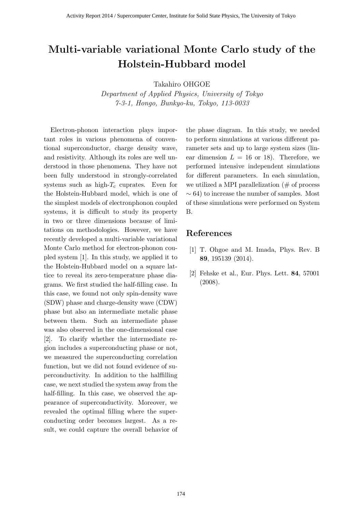# Multi-variable variational Monte Carlo study of the Holstein-Hubbard model

Takahiro OHGOE

Department of Applied Physics, University of Tokyo 7-3-1, Hongo, Bunkyo-ku, Tokyo, 113-0033

Electron-phonon interaction plays important roles in various phenomena of conventional superconductor, charge density wave, and resistivity. Although its roles are well understood in those phenomena. They have not been fully understood in strongly-correlated systems such as high- $T_c$  cuprates. Even for the Holstein-Hubbard model, which is one of the simplest models of electronphonon coupled systems, it is difficult to study its property in two or three dimensions because of limitations on methodologies. However, we have recently developed a multi-variable variational Monte Carlo method for electron-phonon coupled system [1]. In this study, we applied it to the Holstein-Hubbard model on a square lattice to reveal its zero-temperature phase diagrams. We first studied the half-filling case. In this case, we found not only spin-density wave (SDW) phase and charge-density wave (CDW) phase but also an intermediate metalic phase between them. Such an intermediate phase was also observed in the one-dimensional case [2]. To clarify whether the intermediate region includes a superconducting phase or not, we measured the superconducting correlation function, but we did not found evidence of superconductivity. In addition to the halffilling case, we next studied the system away from the half-filling. In this case, we observed the appearance of superconductivity. Moreover, we revealed the optimal filling where the superconducting order becomes largest. As a result, we could capture the overall behavior of the phase diagram. In this study, we needed to perform simulations at various different parameter sets and up to large system sizes (linear dimension  $L = 16$  or 18). Therefore, we performed intensive independent simulations for different parameters. In each simulation, we utilized a MPI parallelization  $(\# \text{ of process})$  $\sim$  64) to increase the number of samples. Most of these simulations were performed on System B.

- [1] T. Ohgoe and M. Imada, Phys. Rev. B 89, 195139 (2014).
- [2] Fehske et al., Eur. Phys. Lett. 84, 57001 (2008).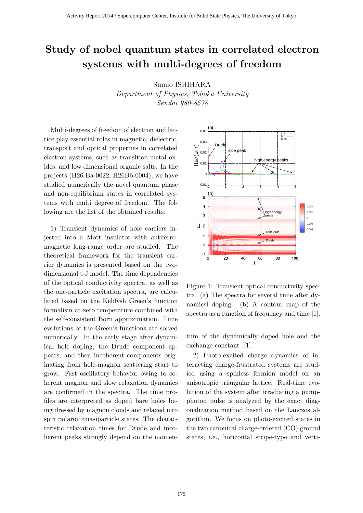# **Study of nobel quantum states in correlated electron systems with multi-degrees of freedom**

Sumio ISHIHARA

*Department of Physics, Tohoku University Sendai 980-8578*

Multi-degrees of freedom of electron and lattice play essential roles in magnetic, dielectric, transport and optical properties in correlated electron systems, such as transition-metal oxides, and low dimensional organic salts. In the projects (H26-Ba-0022, H26Bb-0004), we have studied numerically the novel quantum phase and non-equilibrium states in correlated systems with multi degree of freedom. The following are the list of the obtained results.

1) Transient dynamics of hole carriers injected into a Mott insulator with antiferromagnetic long-range order are studied. The theoretical framework for the transient carrier dynamics is presented based on the twodimensional t-J model. The time dependencies of the optical conductivity spectra, as well as the one-particle excitation spectra, are calculated based on the Keldysh Green's function formalism at zero temperature combined with the self-consistent Born approximation. Time evolutions of the Green's functions are solved numerically. In the early stage after dynamical hole doping, the Drude component appears, and then incoherent components originating from hole-magnon scattering start to grow. Fast oscillatory behavior owing to coherent magnon and slow relaxation dynamics are confirmed in the spectra. The time profiles are interpreted as doped bare holes being dressed by magnon clouds and relaxed into spin polaron quasiparticle states. The characteristic relaxation times for Drude and incoherent peaks strongly depend on the momen-



Figure 1: Transient optical conductivity spectra. (a) The spectra for several time after dynamicsl doping. (b) A contour map of the spectra as a function of frequency and time [1].

tum of the dynamically doped hole and the exchange constant [1].

2) Photo-excited charge dynamics of interacting charge-frustrated systems are studied using a spinless fermion model on an anisotropic triangular lattice. Real-time evolution of the system after irradiating a pumpphoton pulse is analyzed by the exact diagonalization method based on the Lanczos algorithm. We focus on photo-excited states in the two canonical charge-ordered (CO) ground states, i.e., horizontal stripe-type and verti-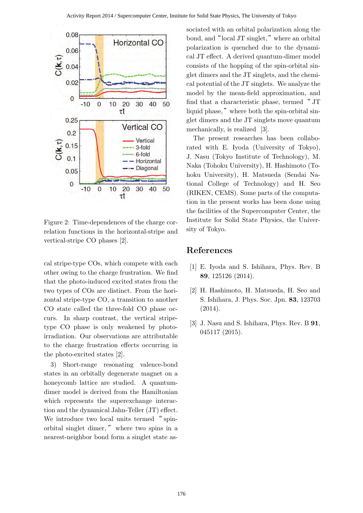

Figure 2: Time-dependences of the charge correlation functions in the horizontal-stripe and vertical-stripe CO phases [2].

cal stripe-type COs, which compete with each other owing to the charge frustration. We find that the photo-induced excited states from the two types of COs are distinct. From the horizontal stripe-type CO, a transition to another CO state called the three-fold CO phase occurs. In sharp contrast, the vertical stripetype CO phase is only weakened by photoirradiation. Our observations are attributable to the charge frustration effects occurring in the photo-excited states [2].

3) Short-range resonating valence-bond states in an orbitally degenerate magnet on a honeycomb lattice are studied. A quantumdimer model is derived from the Hamiltonian which represents the superexchange interaction and the dynamical Jahn-Teller (JT) effect. We introduce two local units termed "spinorbital singlet dimer, " where two spins in a nearest-neighbor bond form a singlet state associated with an orbital polarization along the bond, and"local JT singlet,"where an orbital polarization is quenched due to the dynamical JT effect. A derived quantum-dimer model consists of the hopping of the spin-orbital singlet dimers and the JT singlets, and the chemical potential of the JT singlets. We analyze the model by the mean-field approximation, and find that a characteristic phase, termed " JT liquid phase," where both the spin-orbital singlet dimers and the JT singlets move quantum mechanically, is realized [3].

The present researches has been collaborated with E. Iyoda (University of Tokyo), J. Nasu (Tokyo Institute of Technology), M. Naka (Tohoku University), H. Hashimoto (Tohoku University), H. Matsueda (Sendai National College of Technology) and H. Seo (RIKEN, CEMS). Some parts of the computation in the present works has been done using the facilities of the Supercomputer Center, the Institute for Solid State Physics, the University of Tokyo.

- [1] E. Iyoda and S. Ishihara, Phys. Rev. B **89**, 125126 (2014).
- [2] H. Hashimoto, H. Matsueda, H. Seo and S. Ishihara, J. Phys. Soc. Jpn. **83**, 123703 (2014).
- [3] J. Nasu and S. Ishihara, Phys. Rev. B **91**, 045117 (2015).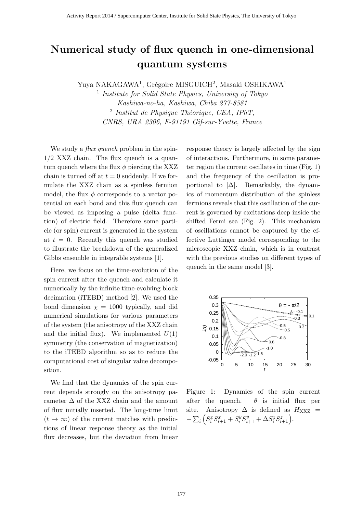# **Numerical study of flux quench in one-dimensional quantum systems**

Yuya NAKAGAWA<sup>1</sup>, Grégoire MISGUICH<sup>2</sup>, Masaki OSHIKAWA<sup>1</sup>

1 *Institute for Solid State Physics, University of Tokyo Kashiwa-no-ha, Kashiwa, Chiba 277-8581* <sup>2</sup> Institut de Physique Théorique, CEA, IPhT, *CNRS, URA 2306, F-91191 Gif-sur-Yvette, France*

We study a *flux quench* problem in the spin-1*/*2 XXZ chain. The flux quench is a quantum quench where the flux  $\phi$  piercing the XXZ chain is turned off at  $t = 0$  suddenly. If we formulate the XXZ chain as a spinless fermion model, the flux  $\phi$  corresponds to a vector potential on each bond and this flux quench can be viewed as imposing a pulse (delta function) of electric field. Therefore some particle (or spin) current is generated in the system at  $t = 0$ . Recently this quench was studied to illustrate the breakdown of the generalized Gibbs ensemble in integrable systems [1].

Here, we focus on the time-evolution of the spin current after the quench and calculate it numerically by the infinite time-evolving block decimation (iTEBD) method [2]. We used the bond dimension  $\chi = 1000$  typically, and did numerical simulations for various parameters of the system (the anisotropy of the XXZ chain and the initial flux). We implemented  $U(1)$ symmetry (the conservation of magnetization) to the iTEBD algorithm so as to reduce the computational cost of singular value decomposition.

We find that the dynamics of the spin current depends strongly on the anisotropy parameter  $\Delta$  of the XXZ chain and the amount of flux initially inserted. The long-time limit  $(t \rightarrow \infty)$  of the current matches with predictions of linear response theory as the initial flux decreases, but the deviation from linear response theory is largely affected by the sign of interactions. Furthermore, in some parameter region the current oscillates in time (Fig. 1) and the frequency of the oscillation is proportional to  $|\Delta|$ . Remarkably, the dynamics of momentum distribution of the spinless fermions reveals that this oscillation of the current is governed by excitations deep inside the shifted Fermi sea (Fig. 2). This mechanism of oscillations cannot be captured by the effective Luttinger model corresponding to the microscopic XXZ chain, which is in contrast with the previous studies on different types of quench in the same model [3].



Figure 1: Dynamics of the spin current after the quench.  $\theta$  is initial flux per site. Anisotropy  $\Delta$  is defined as  $H_{\text{XXZ}}$  =  $-\sum_{i} \left( S_i^x S_{i+1}^x + S_i^y S_{i+1}^y + \Delta S_i^z S_{i+1}^z \right).$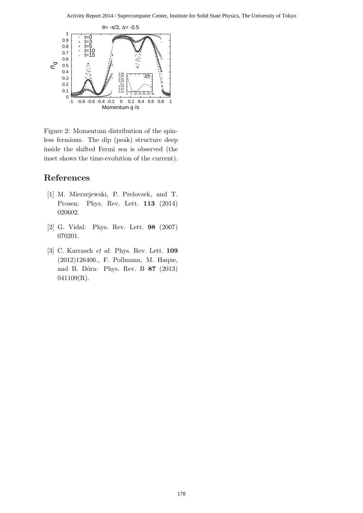

Figure 2: Momentum distribution of the spinless fermions. The dip (peak) structure deep inside the shifted Fermi sea is observed (the inset shows the time-evolution of the current).

- [1] M. Mierzejewski, P. Prelovsek, and T. Prosen: Phys. Rev. Lett. **113** (2014) 020602.
- [2] G. Vidal: Phys. Rev. Lett. **98** (2007) 070201.
- [3] C. Karrasch *et al*: Phys. Rev. Lett. **109** (2012)126406., F. Pollmann, M. Haque, and B. Dóra: Phys. Rev. B **87** (2013) 041109(R).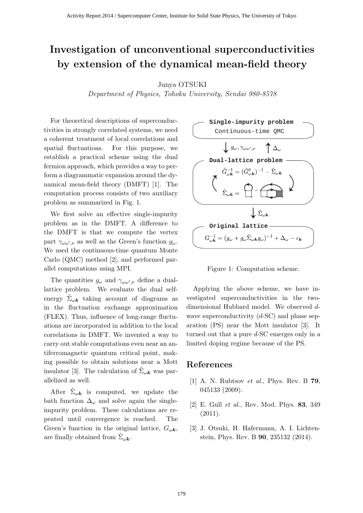# **Investigation of unconventional superconductivities by extension of the dynamical mean-field theory**

#### Junya OTSUKI

*Department of Physics, Tohoku University, Sendai 980-8578*

For theoretical descriptions of superconductivities in strongly correlated systems, we need a coherent treatment of local correlations and spatial fluctuations. For this purpose, we establish a practical scheme using the dual fermion approach, which provides a way to perform a diagrammatic expansion around the dynamical mean-field theory (DMFT) [1]. The computation process consists of two auxiliary problem as summarized in Fig. 1.

We first solve an effective single-impurity problem as in the DMFT. A difference to the DMFT is that we compute the vertex part  $\gamma_{\omega,\omega',\nu}$  as well as the Green's function  $g_{\omega}$ . We used the continuous-time quantum Monte Carlo (QMC) method [2], and performed parallel computations using MPI.

The quantities  $g_{\omega}$  and  $\gamma_{\omega \omega', \nu}$  define a duallattice problem. We evaluate the dual selfenergy  $\tilde{\Sigma}_{\omega k}$  taking account of diagrams as in the fluctuation exchange approximation (FLEX). Thus, influence of long-range fluctuations are incorporated in addition to the local correlations in DMFT. We invented a way to carry out stable computations even near an antiferromagnetic quantum critical point, making possible to obtain solutions near a Mott insulator [3]. The calculation of  $\tilde{\Sigma}_{\omega k}$  was parallelized as well.

After  $\tilde{\Sigma}_{\omega k}$  is computed, we update the bath function  $\Delta_{\omega}$  and solve again the singleimpurity problem. These calculations are repeated until convergence is reached. The Green's function in the original lattice,  $G_{\omega k}$ , are finally obtained from  $\tilde{\Sigma}_{\omega k}$ .



Figure 1: Computation scheme.

Applying the above scheme, we have investigated superconductivities in the twodimensional Hubbard model. We observed *d*wave superconductivity (*d*-SC) and phase separation (PS) near the Mott insulator [3]. It turned out that a pure *d*-SC emerges only in a limited doping regime because of the PS.

- [1] A. N. Rubtsov *et al.*, Phys. Rev. B **79**, 045133 (2009).
- [2] E. Gull *et al.*, Rev. Mod. Phys. **83**, 349  $(2011).$
- [3] J. Otsuki, H. Hafermann, A. I. Lichtenstein, Phys. Rev. B **90**, 235132 (2014).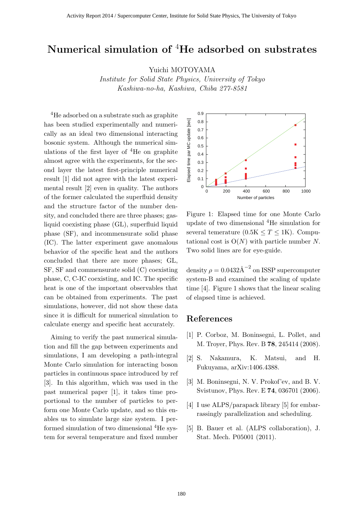### **Numerical simulation of** <sup>4</sup>**He adsorbed on substrates**

Yuichi MOTOYAMA

*Institute for Solid State Physics, University of Tokyo Kashiwa-no-ha, Kashiwa, Chiba 277-8581*

<sup>4</sup>He adsorbed on a substrate such as graphite has been studied experimentally and numerically as an ideal two dimensional interacting bosonic system. Although the numerical simulations of the first layer of  ${}^{4}$ He on graphite almost agree with the experiments, for the second layer the latest first-principle numerical result [1] did not agree with the latest experimental result [2] even in quality. The authors of the former calculated the superfluid density and the structure factor of the number density, and concluded there are three phases; gasliquid coexisting phase (GL), superfluid liquid phase (SF), and incommensurate solid phase (IC). The latter experiment gave anomalous behavior of the specific heat and the authors concluded that there are more phases; GL, SF, SF and commensurate solid (C) coexisting phase, C, C-IC coexisting, and IC. The specific heat is one of the important observables that can be obtained from experiments. The past simulations, however, did not show these data since it is difficult for numerical simulation to calculate energy and specific heat accurately.

Aiming to verify the past numerical simulation and fill the gap between experiments and simulations, I am developing a path-integral Monte Carlo simulation for interacting boson particles in continuous space introduced by ref [3]. In this algorithm, which was used in the past numerical paper [1], it takes time proportional to the number of particles to perform one Monte Carlo update, and so this enables us to simulate large size system. I performed simulation of two dimensional <sup>4</sup>He system for several temperature and fixed number



Figure 1: Elapsed time for one Monte Carlo update of two dimensional <sup>4</sup>He simulation for several temerature  $(0.5K \leq T \leq 1K)$ . Computational cost is  $O(N)$  with particle number N. Two solid lines are for eye-guide.

density  $\rho = 0.0432 \text{\AA}^{-2}$  on ISSP supercomputer system-B and examined the scaling of update time [4]. Figure 1 shows that the linear scaling of elapsed time is achieved.

- [1] P. Corboz, M. Boninsegni, L. Pollet, and M. Troyer, Phys. Rev. B **78**, 245414 (2008).
- [2] S. Nakamura, K. Matsui, and H. Fukuyama, arXiv:1406.4388.
- [3] M. Boninsegni, N. V. Prokof'ev, and B. V. Svistunov, Phys. Rev. E **74**, 036701 (2006).
- [4] I use ALPS/parapack library [5] for embarrassingly parallelization and scheduling.
- [5] B. Bauer et al. (ALPS collaboration), J. Stat. Mech. P05001 (2011).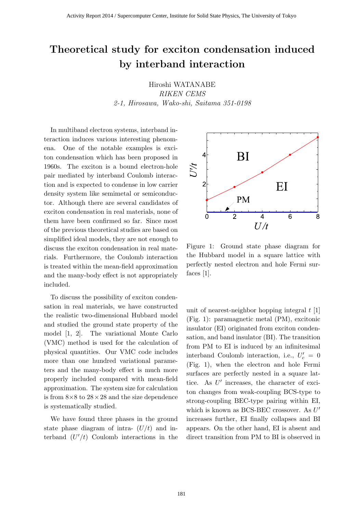# **Theoretical study for exciton condensation induced by interband interaction**

Hiroshi WATANABE *RIKEN CEMS 2-1, Hirosawa, Wako-shi, Saitama 351-0198*

In multiband electron systems, interband interaction induces various interesting phenomena. One of the notable examples is exciton condensation which has been proposed in 1960s. The exciton is a bound electron-hole pair mediated by interband Coulomb interaction and is expected to condense in low carrier density system like semimetal or semiconductor. Although there are several candidates of exciton condensation in real materials, none of them have been confirmed so far. Since most of the previous theoretical studies are based on simplified ideal models, they are not enough to discuss the exciton condensation in real materials. Furthermore, the Coulomb interaction is treated within the mean-field approximation and the many-body effect is not appropriately included.

To discuss the possibility of exciton condensation in real materials, we have constructed the realistic two-dimensional Hubbard model and studied the ground state property of the model [1, 2]. The variational Monte Carlo (VMC) method is used for the calculation of physical quantities. Our VMC code includes more than one hundred variational parameters and the many-body effect is much more properly included compared with mean-field approximation. The system size for calculation is from 8*×*8 to 28*×*28 and the size dependence is systematically studied.

We have found three phases in the ground state phase diagram of intra- (*U/t*) and interband  $(U'/t)$  Coulomb interactions in the



Figure 1: Ground state phase diagram for the Hubbard model in a square lattice with perfectly nested electron and hole Fermi surfaces [1].

unit of nearest-neighbor hopping integral *t* [1] (Fig. 1): paramagnetic metal (PM), excitonic insulator (EI) originated from exciton condensation, and band insulator (BI). The transition from PM to EI is induced by an infinitesimal interband Coulomb interaction, i.e.,  $U'_c = 0$ (Fig. 1), when the electron and hole Fermi surfaces are perfectly nested in a square lattice. As U' increases, the character of exciton changes from weak-coupling BCS-type to strong-coupling BEC-type pairing within EI, which is known as BCS-BEC crossover. As *U ′* increases further, EI finally collapses and BI appears. On the other hand, EI is absent and direct transition from PM to BI is observed in